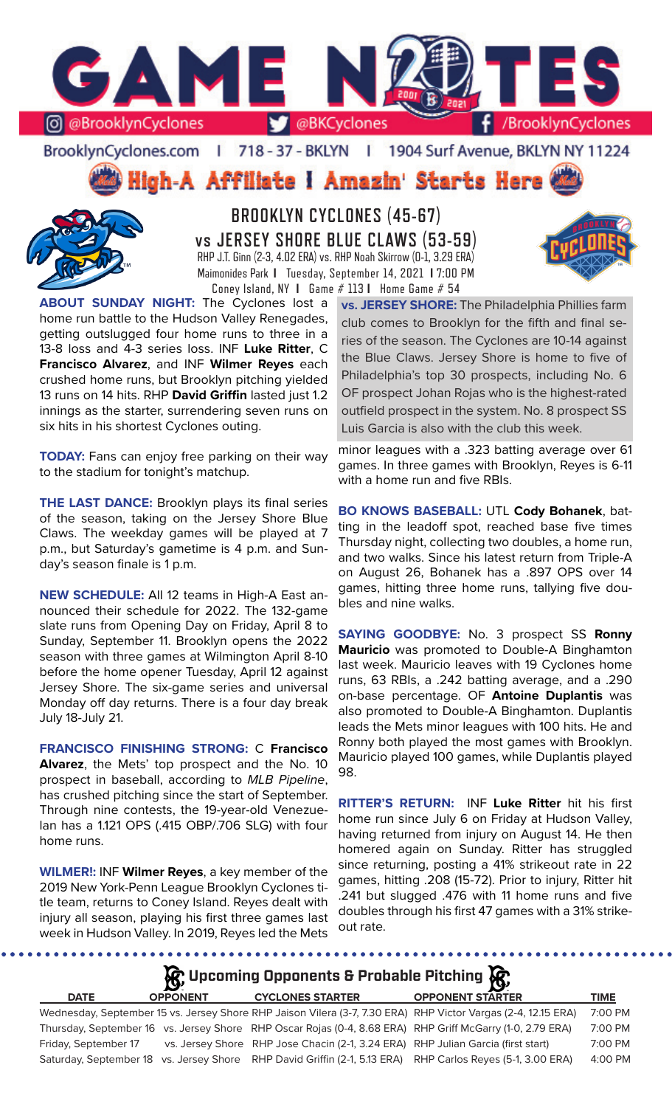

BrooklynCyclones.com | 718 - 37 - BKLYN | 1904 Surf Avenue, BKLYN NY 11224

**High-A Affiliate I Amazin' Starts Here** 



**BROOKLYN CYCLONES (45-67) vs JERSEY SHORE BLUE CLAWS (53-59)** RHP J.T. Ginn (2-3, 4.02 ERA) vs. RHP Noah Skirrow (0-1, 3.29 ERA) Maimonides Park **I** Tuesday, September 14, 2021 **I** 7:00 PM Coney Island, NY **I** Game # 113 **I** Home Game # 54

**ABOUT SUNDAY NIGHT:** The Cyclones lost a home run battle to the Hudson Valley Renegades, getting outslugged four home runs to three in a 13-8 loss and 4-3 series loss. INF **Luke Ritter**, C **Francisco Alvarez**, and INF **Wilmer Reyes** each crushed home runs, but Brooklyn pitching yielded 13 runs on 14 hits. RHP **David Griffin** lasted just 1.2 innings as the starter, surrendering seven runs on six hits in his shortest Cyclones outing.

**TODAY:** Fans can enjoy free parking on their way to the stadium for tonight's matchup.

**THE LAST DANCE:** Brooklyn plays its final series of the season, taking on the Jersey Shore Blue Claws. The weekday games will be played at 7 p.m., but Saturday's gametime is 4 p.m. and Sunday's season finale is 1 p.m.

**NEW SCHEDULE:** All 12 teams in High-A East announced their schedule for 2022. The 132-game slate runs from Opening Day on Friday, April 8 to Sunday, September 11. Brooklyn opens the 2022 season with three games at Wilmington April 8-10 before the home opener Tuesday, April 12 against Jersey Shore. The six-game series and universal Monday off day returns. There is a four day break July 18-July 21.

**FRANCISCO FINISHING STRONG:** C **Francisco Alvarez**, the Mets' top prospect and the No. 10 prospect in baseball, according to *MLB Pipeline*, has crushed pitching since the start of September. Through nine contests, the 19-year-old Venezuelan has a 1.121 OPS (.415 OBP/.706 SLG) with four home runs.

**WILMER!:** INF **Wilmer Reyes**, a key member of the 2019 New York-Penn League Brooklyn Cyclones title team, returns to Coney Island. Reyes dealt with injury all season, playing his first three games last week in Hudson Valley. In 2019, Reyes led the Mets

........

**vs. JERSEY SHORE:** The Philadelphia Phillies farm club comes to Brooklyn for the fifth and final series of the season. The Cyclones are 10-14 against the Blue Claws. Jersey Shore is home to five of Philadelphia's top 30 prospects, including No. 6 OF prospect Johan Rojas who is the highest-rated outfield prospect in the system. No. 8 prospect SS Luis Garcia is also with the club this week.

minor leagues with a .323 batting average over 61 games. In three games with Brooklyn, Reyes is 6-11 with a home run and five RBIs.

**BO KNOWS BASEBALL:** UTL **Cody Bohanek**, batting in the leadoff spot, reached base five times Thursday night, collecting two doubles, a home run, and two walks. Since his latest return from Triple-A on August 26, Bohanek has a .897 OPS over 14 games, hitting three home runs, tallying five doubles and nine walks.

**SAYING GOODBYE:** No. 3 prospect SS **Ronny Mauricio** was promoted to Double-A Binghamton last week. Mauricio leaves with 19 Cyclones home runs, 63 RBIs, a .242 batting average, and a .290 on-base percentage. OF **Antoine Duplantis** was also promoted to Double-A Binghamton. Duplantis leads the Mets minor leagues with 100 hits. He and Ronny both played the most games with Brooklyn. Mauricio played 100 games, while Duplantis played 98.

**RITTER'S RETURN:** INF **Luke Ritter** hit his first home run since July 6 on Friday at Hudson Valley, having returned from injury on August 14. He then homered again on Sunday. Ritter has struggled since returning, posting a 41% strikeout rate in 22 games, hitting .208 (15-72). Prior to injury, Ritter hit .241 but slugged .476 with 11 home runs and five doubles through his first 47 games with a 31% strikeout rate.

# **DATE OPPONENT CYCLONES STARTER OPPONENT STARTER TIME** Wednesday, September 15 vs. Jersey Shore RHP Jaison Vilera (3-7, 7.30 ERA) RHP Victor Vargas (2-4, 12.15 ERA) 7:00 PM Thursday, September 16 vs. Jersey Shore RHP Oscar Rojas (0-4, 8.68 ERA) RHP Griff McGarry (1-0, 2.79 ERA) 7:00 PM Friday, September 17 vs. Jersey Shore RHP Jose Chacin (2-1, 3.24 ERA) RHP Julian Garcia (first start) 7:00 PM **Upcoming Opponents & Probable Pitching**

Saturday, September 18 vs. Jersey Shore RHP David Griffin (2-1, 5.13 ERA) RHP Carlos Reyes (5-1, 3.00 ERA) 4:00 PM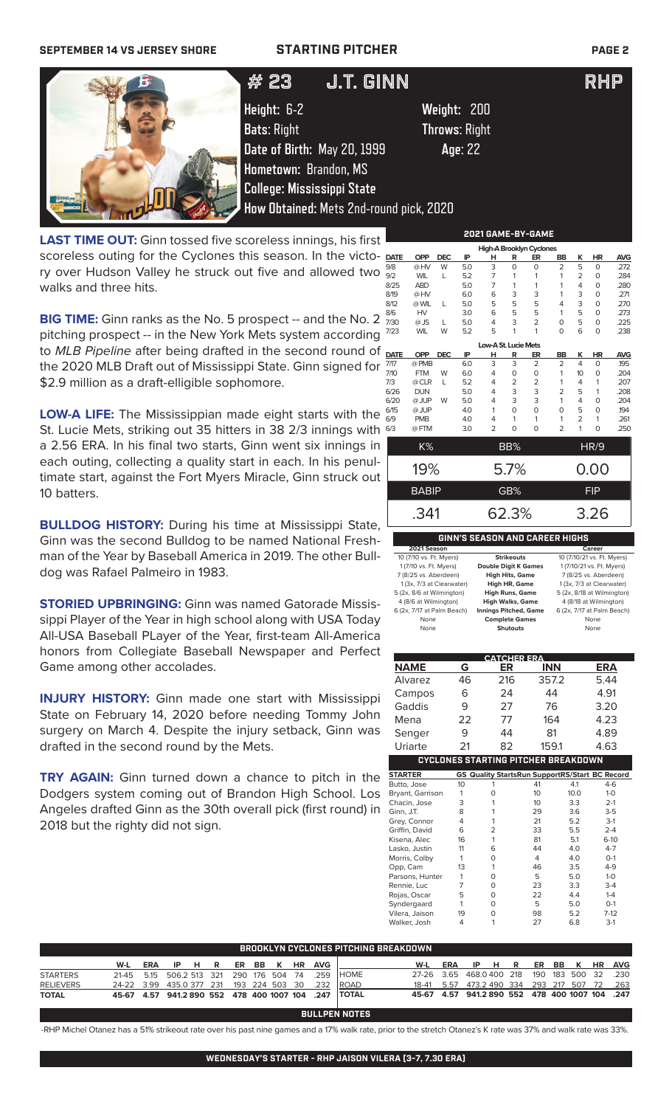# **SEPTEMBER 14 VS JERSEY SHORE STARTING PITCHER PAGE 2**



# $#$  25 J.I.UINN  $#$  25 J.I.U # 23 J.T. GINN RHP

**Height:** 6-2 **Weight:** 200 **Bats**: Right **Throws**: Right **Date of Birth:** May 20, 1999 **Age**: 22 **Hometown:** Brandon, MS **College: Mississippi State How Obtained:** Mets 2nd-round pick, 2020

**LAST TIME OUT:** Ginn tossed five scoreless innings, his first scoreless outing for the Cyclones this season. In the victory over Hudson Valley he struck out five and allowed two walks and three hits.

**BIG TIME:** Ginn ranks as the No. 5 prospect -- and the No. 2 pitching prospect -- in the New York Mets system according to *MLB Pipeline* after being drafted in the second round of the 2020 MLB Draft out of Mississippi State. Ginn signed for \$2.9 million as a draft-elligible sophomore.

**LOW-A LIFE:** The Mississippian made eight starts with the St. Lucie Mets, striking out 35 hitters in 38 2/3 innings with a 2.56 ERA. In his final two starts, Ginn went six innings in each outing, collecting a quality start in each. In his penultimate start, against the Fort Myers Miracle, Ginn struck out 10 batters.

**BULLDOG HISTORY:** During his time at Mississippi State, Ginn was the second Bulldog to be named National Freshman of the Year by Baseball America in 2019. The other Bulldog was Rafael Palmeiro in 1983.

**STORIED UPBRINGING:** Ginn was named Gatorade Mississippi Player of the Year in high school along with USA Today All-USA Baseball PLayer of the Year, first-team All-America honors from Collegiate Baseball Newspaper and Perfect Game among other accolades.

**INJURY HISTORY:** Ginn made one start with Mississippi State on February 14, 2020 before needing Tommy John surgery on March 4. Despite the injury setback, Ginn was drafted in the second round by the Mets.

**TRY AGAIN:** Ginn turned down a chance to pitch in the Dodgers system coming out of Brandon High School. Los Angeles drafted Ginn as the 30th overall pick (first round) in 2018 but the righty did not sign.

| <b>OPP</b><br><b>DEC</b><br>IP<br><b>DATE</b><br>н<br>R<br>ER<br>BB<br>3<br>W<br>9/8<br>$\overline{O}$<br>$\overline{2}$<br>@HV<br>5.0<br>0<br>$\overline{7}$<br>5.2<br>9/2<br><b>WIL</b><br>L<br>1<br>1<br>1<br>$\overline{7}$<br>8/25<br><b>ABD</b><br>5.0<br>1<br>1<br>1<br>3<br>8/19<br>@HV<br>6.0<br>6<br>3<br>1<br>5<br>5<br>8/12<br>@ WIL<br>5.0<br>5<br>L<br>4<br><b>HV</b><br>5<br>8/6<br>5<br>3.0<br>6<br>1<br>$\overline{2}$<br>3<br>7/30<br>$@$ JS<br>5.0<br>4<br>0<br>L<br><b>WIL</b><br>5.2<br>5<br>1<br>7/23<br>1<br>0<br>W<br>Low-A St. Lucie Mets<br><b>OPP</b><br><b>DEC</b><br>IP<br>ER<br>R<br><b>BB</b><br>н<br>3<br>3<br>$\overline{2}$<br>@ PMB<br>$\overline{2}$<br>6.0<br><b>FTM</b><br>6.0<br>4<br>1<br>W<br>0<br>$\Omega$<br>5.2<br>@ CLR<br>L<br>2<br>2<br>1<br>4<br>3<br><b>DUN</b><br>3<br>5.0<br>$\overline{2}$<br>4<br>3<br>@ JUP<br>3<br>1<br>5.0<br>W<br>4<br>@ JUP<br>4.0<br>1<br>0<br>$\Omega$<br>0<br><b>PMB</b><br>4.0<br>4<br>1<br>1<br>1<br>$\overline{2}$<br>$\overline{2}$<br>$\Omega$<br>@FTM<br>3.0<br>0<br>K%<br>BB% | K<br>5<br>2<br>4<br>3<br>3<br>5<br>5<br>6<br>K<br>4<br>10 | <b>HR</b><br>$\Omega$<br>0<br>0<br>0<br>$\circ$<br>$\mathbf 0$<br>0<br>0<br>HR<br>0<br>0<br>1 | <b>AVG</b><br>.272<br>.284<br>.280<br>.271<br>.270<br>.273<br>.225<br>.238<br><b>AVG</b><br>.195<br>.204<br>.207 |
|-------------------------------------------------------------------------------------------------------------------------------------------------------------------------------------------------------------------------------------------------------------------------------------------------------------------------------------------------------------------------------------------------------------------------------------------------------------------------------------------------------------------------------------------------------------------------------------------------------------------------------------------------------------------------------------------------------------------------------------------------------------------------------------------------------------------------------------------------------------------------------------------------------------------------------------------------------------------------------------------------------------------------------------------------------------------|-----------------------------------------------------------|-----------------------------------------------------------------------------------------------|------------------------------------------------------------------------------------------------------------------|
|                                                                                                                                                                                                                                                                                                                                                                                                                                                                                                                                                                                                                                                                                                                                                                                                                                                                                                                                                                                                                                                                   |                                                           |                                                                                               |                                                                                                                  |
|                                                                                                                                                                                                                                                                                                                                                                                                                                                                                                                                                                                                                                                                                                                                                                                                                                                                                                                                                                                                                                                                   |                                                           |                                                                                               |                                                                                                                  |
|                                                                                                                                                                                                                                                                                                                                                                                                                                                                                                                                                                                                                                                                                                                                                                                                                                                                                                                                                                                                                                                                   |                                                           |                                                                                               |                                                                                                                  |
|                                                                                                                                                                                                                                                                                                                                                                                                                                                                                                                                                                                                                                                                                                                                                                                                                                                                                                                                                                                                                                                                   |                                                           |                                                                                               |                                                                                                                  |
|                                                                                                                                                                                                                                                                                                                                                                                                                                                                                                                                                                                                                                                                                                                                                                                                                                                                                                                                                                                                                                                                   |                                                           |                                                                                               |                                                                                                                  |
|                                                                                                                                                                                                                                                                                                                                                                                                                                                                                                                                                                                                                                                                                                                                                                                                                                                                                                                                                                                                                                                                   |                                                           |                                                                                               |                                                                                                                  |
|                                                                                                                                                                                                                                                                                                                                                                                                                                                                                                                                                                                                                                                                                                                                                                                                                                                                                                                                                                                                                                                                   |                                                           |                                                                                               |                                                                                                                  |
|                                                                                                                                                                                                                                                                                                                                                                                                                                                                                                                                                                                                                                                                                                                                                                                                                                                                                                                                                                                                                                                                   |                                                           |                                                                                               |                                                                                                                  |
|                                                                                                                                                                                                                                                                                                                                                                                                                                                                                                                                                                                                                                                                                                                                                                                                                                                                                                                                                                                                                                                                   |                                                           |                                                                                               |                                                                                                                  |
| <b>DATE</b><br>7/17<br>7/10<br>7/3<br>6/26<br>6/20<br>6/15<br>6/9<br>6/3                                                                                                                                                                                                                                                                                                                                                                                                                                                                                                                                                                                                                                                                                                                                                                                                                                                                                                                                                                                          |                                                           |                                                                                               |                                                                                                                  |
|                                                                                                                                                                                                                                                                                                                                                                                                                                                                                                                                                                                                                                                                                                                                                                                                                                                                                                                                                                                                                                                                   |                                                           |                                                                                               |                                                                                                                  |
|                                                                                                                                                                                                                                                                                                                                                                                                                                                                                                                                                                                                                                                                                                                                                                                                                                                                                                                                                                                                                                                                   |                                                           |                                                                                               |                                                                                                                  |
|                                                                                                                                                                                                                                                                                                                                                                                                                                                                                                                                                                                                                                                                                                                                                                                                                                                                                                                                                                                                                                                                   |                                                           |                                                                                               |                                                                                                                  |
|                                                                                                                                                                                                                                                                                                                                                                                                                                                                                                                                                                                                                                                                                                                                                                                                                                                                                                                                                                                                                                                                   | 4                                                         |                                                                                               |                                                                                                                  |
|                                                                                                                                                                                                                                                                                                                                                                                                                                                                                                                                                                                                                                                                                                                                                                                                                                                                                                                                                                                                                                                                   | 5                                                         | 1                                                                                             | .208                                                                                                             |
|                                                                                                                                                                                                                                                                                                                                                                                                                                                                                                                                                                                                                                                                                                                                                                                                                                                                                                                                                                                                                                                                   | 4                                                         | O                                                                                             | .204                                                                                                             |
|                                                                                                                                                                                                                                                                                                                                                                                                                                                                                                                                                                                                                                                                                                                                                                                                                                                                                                                                                                                                                                                                   | 5                                                         | 0                                                                                             | 194                                                                                                              |
|                                                                                                                                                                                                                                                                                                                                                                                                                                                                                                                                                                                                                                                                                                                                                                                                                                                                                                                                                                                                                                                                   | $\overline{2}$                                            | 1                                                                                             | .261                                                                                                             |
|                                                                                                                                                                                                                                                                                                                                                                                                                                                                                                                                                                                                                                                                                                                                                                                                                                                                                                                                                                                                                                                                   | 1                                                         | O                                                                                             | .250                                                                                                             |
|                                                                                                                                                                                                                                                                                                                                                                                                                                                                                                                                                                                                                                                                                                                                                                                                                                                                                                                                                                                                                                                                   |                                                           | HR/9                                                                                          |                                                                                                                  |
|                                                                                                                                                                                                                                                                                                                                                                                                                                                                                                                                                                                                                                                                                                                                                                                                                                                                                                                                                                                                                                                                   |                                                           |                                                                                               |                                                                                                                  |
| 19%<br>5.7%                                                                                                                                                                                                                                                                                                                                                                                                                                                                                                                                                                                                                                                                                                                                                                                                                                                                                                                                                                                                                                                       |                                                           | 0.00                                                                                          |                                                                                                                  |
| GB%<br><b>BABIP</b>                                                                                                                                                                                                                                                                                                                                                                                                                                                                                                                                                                                                                                                                                                                                                                                                                                                                                                                                                                                                                                               |                                                           | <b>FIP</b>                                                                                    |                                                                                                                  |
| 62.3%<br>.341                                                                                                                                                                                                                                                                                                                                                                                                                                                                                                                                                                                                                                                                                                                                                                                                                                                                                                                                                                                                                                                     |                                                           | 3.26                                                                                          |                                                                                                                  |
|                                                                                                                                                                                                                                                                                                                                                                                                                                                                                                                                                                                                                                                                                                                                                                                                                                                                                                                                                                                                                                                                   |                                                           |                                                                                               |                                                                                                                  |

**2021 GAME-BY-GAME**

| GINN'S SEASON AND CAREER HIGHS |
|--------------------------------|
|--------------------------------|

| 2021 Season                |                              | <b>Career</b>              |
|----------------------------|------------------------------|----------------------------|
| 10 (7/10 vs. Ft. Myers)    | <b>Strikeouts</b>            | 10 (7/10/21 vs. Ft. Myers) |
| 1 (7/10 vs. Ft. Myers)     | <b>Double Digit K Games</b>  | 1 (7/10/21 vs. Ft. Myers)  |
| 7 (8/25 vs. Aberdeen)      | <b>High Hits, Game</b>       | 7 (8/25 vs. Aberdeen)      |
| 1 (3x, 7/3 at Clearwater)  | <b>High HR, Game</b>         | 1 (3x, 7/3 at Clearwater)  |
| 5 (2x, 8/6 at Wilmington)  | <b>High Runs, Game</b>       | 5 (2x, 8/18 at Wilmington) |
| 4 (8/6 at Wilmington)      | <b>High Walks, Game</b>      | 4 (8/18 at Wilmington)     |
| 6 (2x, 7/17 at Palm Beach) | <b>Innings Pitched, Game</b> | 6 (2x, 7/17 at Palm Beach) |
| None                       | <b>Complete Games</b>        | None                       |
| None                       | <b>Shutouts</b>              | None                       |

|                  |    | <b>CATCHER ERA</b>                         |            |      |                                                       |
|------------------|----|--------------------------------------------|------------|------|-------------------------------------------------------|
| <b>NAME</b>      | G  | ER                                         | <b>INN</b> |      | ERA                                                   |
| Alvarez          | 46 | 216                                        | 357.2      |      | 5.44                                                  |
| Campos           | 6  | 24                                         | 44         |      | 4.91                                                  |
| Gaddis           | 9  | 27                                         | 76         |      | 3.20                                                  |
| Mena             | 22 | 77                                         | 164        |      | 4.23                                                  |
| Senger           | 9  | 44                                         | 81         |      | 4.89                                                  |
| Uriarte          | 21 | 82                                         | 159.1      |      | 4.63                                                  |
|                  |    | <b>CYCLONES STARTING PITCHER BREAKDOWN</b> |            |      |                                                       |
| <b>STARTER</b>   |    |                                            |            |      | <b>GS Quality StartsRun SupportRS/Start BC Record</b> |
| Butto, Jose      | 10 | 1                                          | 41         | 4.1  | $4-6$                                                 |
| Bryant, Garrison | 1  | O                                          | 10         | 10.0 | $1 - 0$                                               |
| Chacin, Jose     | 3  | 1                                          | 10         | 3.3  | $2 - 1$                                               |
| Ginn, J.T.       | 8  | 1                                          | 29         | 3.6  | $3 - 5$                                               |
| Grey, Connor     | 4  | 1                                          | 21         | 5.2  | $3-1$                                                 |
| Griffin, David   | 6  | $\overline{2}$                             | 33         | 5.5  | $2 - 4$                                               |
| Kisena, Alec     | 16 | 1                                          | 81         | 5.1  | $6-10$                                                |
| Lasko, Justin    | 11 | 6                                          | 44         | 40   | $4 - 7$                                               |
| Morris, Colby    | 1  | $\Omega$                                   | 4          | 4.0  | $O-1$                                                 |
| Opp, Cam         | 13 | 1                                          | 46         | 3.5  | $4 - 9$                                               |
| Parsons, Hunter  | 1  | O                                          | 5          | 5.0  | $1 - 0$                                               |
| Rennie, Luc      | 7  | $\Omega$                                   | 23         | 3.3  | $3-4$                                                 |
| Rojas, Oscar     | 5  | $\Omega$                                   | 22         | 4.4  | $1 - 4$                                               |
| Syndergaard      | 1  | $\Omega$                                   | 5          | 5.0  | $O-1$                                                 |
| Vilera, Jaison   | 19 | 0                                          | 98         | 5.2  | $7-12$                                                |
| Walker, Josh     | 4  | 1                                          | 27         | 6.8  | $3-1$                                                 |

| <b>BROOKLYN CYCLONES PITCHING BREAKDOWN</b> |                                                   |  |  |  |  |  |  |  |                           |                                                      |                                                |     |                       |  |  |  |  |
|---------------------------------------------|---------------------------------------------------|--|--|--|--|--|--|--|---------------------------|------------------------------------------------------|------------------------------------------------|-----|-----------------------|--|--|--|--|
|                                             | W-L                                               |  |  |  |  |  |  |  | ERA IP H R ER BB K HR AVG |                                                      | W-L                                            | ERA | IP H R ER BB K HR AVG |  |  |  |  |
| <b>STARTERS</b>                             |                                                   |  |  |  |  |  |  |  |                           | 21-45 5.15 506.2 513 321 290 176 504 74 .259 HOME    | 27-26 3.65 468.0400 218 190 183 500 32 .230    |     |                       |  |  |  |  |
| <b>RELIEVERS</b>                            | 24-22 3.99 435.0 377 231 193 224 503 30 .232 ROAD |  |  |  |  |  |  |  |                           |                                                      | 18-41 5.57 473.2 490 334 293 217 507 72 .263   |     |                       |  |  |  |  |
| <b>TOTAL</b>                                |                                                   |  |  |  |  |  |  |  |                           | 45-67 4.57 941.2 890 552 478 400 1007 104 .247 TOTAL | 45-67 4.57 941.2 890 552 478 400 1007 104 .247 |     |                       |  |  |  |  |

**BULLPEN NOTES**

-RHP Michel Otanez has a 51% strikeout rate over his past nine games and a 17% walk rate, prior to the stretch Otanez's K rate was 37% and walk rate was 33%.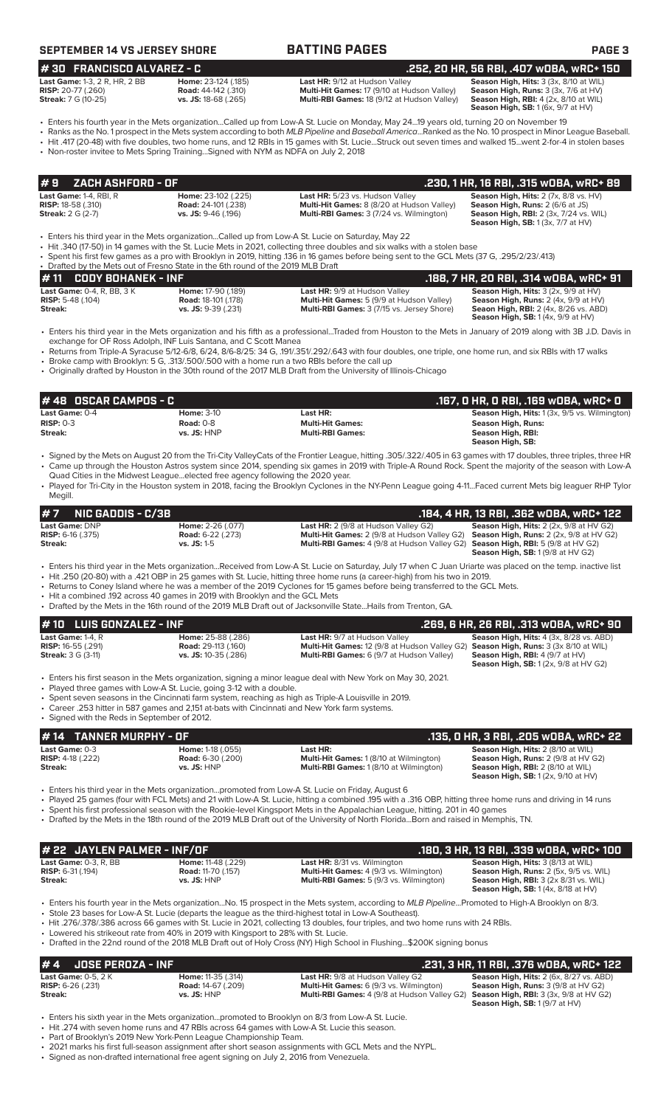# **SEPTEMBER 14 VS JERSEY SHORE BATTING PAGES PAGE 3**

**# 30 FRANCISCO ALVAREZ - C .252, 20 HR, 56 RBI, .407 wOBA, wRC+ 150**

| _________________________            |                             |                                                    | المافان للغالب فالمناسب المائد الاستحادات والمستحلمات المناسب والمافان المتحمل ومستحدثهم |
|--------------------------------------|-----------------------------|----------------------------------------------------|------------------------------------------------------------------------------------------|
| <b>Last Game: 1-3, 2 R, HR, 2 BB</b> | Home: 23-124 (.185)         | <b>Last HR:</b> 9/12 at Hudson Valley              | <b>Season High, Hits: 3 (3x, 8/10 at WIL)</b>                                            |
| <b>RISP:</b> 20-77 (.260)            | <b>Road:</b> 44-142 (.310)  | <b>Multi-Hit Games: 17 (9/10 at Hudson Valley)</b> | <b>Season High, Runs:</b> $3$ ( $3x$ , $7/6$ at $HV$ )                                   |
| <b>Streak:</b> 7 G (10-25)           | <b>vs. JS:</b> 18-68 (.265) | <b>Multi-RBI Games: 18 (9/12 at Hudson Valley)</b> | <b>Season High, RBI:</b> 4 (2x, 8/10 at WIL)                                             |
|                                      |                             |                                                    | <b>Season High, SB:</b> $1(6x, 9/7$ at $HV$ )                                            |

**Last Game: <b>Season High, Hits:** 3 (3x, 8/10 at WIL) **Season High, Runs:** 3 (3x, 7/6 at HV) **RISP:** 20-77 (.260) **Road:** 44-142 (.310) **Multi-Hit Games:** 17 (9/10 at Hudson Valley) **Season High, Runs:** 3 (3x, 7/6 at HV)

• Enters his fourth year in the Mets organization...Called up from Low-A St. Lucie on Monday, May 24...19 years old, turning 20 on November 19 • Ranks as the No. 1 prospect in the Mets system according to both *MLB Pipeline* and *Baseball America*...Ranked as the No. 10 prospect in Minor League Baseball.

• Hit .417 (20-48) with five doubles, two home runs, and 12 RBIs in 15 games with St. Lucie...Struck out seven times and walked 15...went 2-for-4 in stolen bases

• Non-roster invitee to Mets Spring Training...Signed with NYM as NDFA on July 2, 2018

|                                            | $\#$ 9 $\#$ ZACH ASHFORD - OF $\#$ |                              |                                                 | .230, 1 HR, 16 RBI, .315 wOBA, wRC+ 89                  |
|--------------------------------------------|------------------------------------|------------------------------|-------------------------------------------------|---------------------------------------------------------|
| <b>Last Game: <math>1-4</math>. RBI. R</b> |                                    | <b>Home:</b> $23-102$ (.225) | Last HR: 5/23 vs. Hudson Valley                 | <b>Season High, Hits:</b> $2$ ( $7x$ , $8/8$ vs. $HV$ ) |
| <b>RISP:</b> 18-58 (.310)                  |                                    | <b>Road: 24-101 (.238)</b>   | Multi-Hit Games: 8 (8/20 at Hudson Valley)      | <b>Season High, Runs: 2 (6/6 at JS)</b>                 |
| <b>Streak:</b> 2 G (2-7)                   |                                    | $vs.$ JS: 9-46 (.196)        | <b>Multi-RBI Games: 3 (7/24 vs. Wilmington)</b> | <b>Season High, RBI:</b> 2 (3x, 7/24 vs. WIL)           |
|                                            |                                    |                              |                                                 | <b>Season High, SB:</b> $1(3x, 7/7$ at $HV$ )           |

• Enters his third year in the Mets organization...Called up from Low-A St. Lucie on Saturday, May 22

• Hit .340 (17-50) in 14 games with the St. Lucie Mets in 2021, collecting three doubles and six walks with a stolen base

• Spent his first few games as a pro with Brooklyn in 2019, hitting .136 in 16 games before being sent to the GCL Mets (37 G, .295/2/23/.413)

| • Drafted by the Mets out of Fresno State in the 6th round of the 2019 MLB Draft |                            |                                                   |                                                 |
|----------------------------------------------------------------------------------|----------------------------|---------------------------------------------------|-------------------------------------------------|
| $# 11$ CODY BOHANEK - INF                                                        |                            |                                                   | .188. 7 HR. 20 RBI. .314 wOBA. wRC+ 91          |
| <b>Last Game: 0-4, R, BB, 3 K</b>                                                | Home: 17-90 (.189)         | <b>Last HR: 9/9 at Hudson Valley</b>              | <b>Season High, Hits:</b> $3$ (2x, $9/9$ at HV) |
| <b>RISP:</b> 5-48 $(.104)$                                                       | <b>Road: 18-101 (.178)</b> | <b>Multi-Hit Games:</b> 5 (9/9 at Hudson Valley)  | <b>Season High, Runs:</b> $2$ (4x, $9/9$ at HV) |
| Streak:                                                                          | $vs.$ JS: $9-39$ (.231)    | <b>Multi-RBI Games: 3 (7/15 vs. Jersey Shore)</b> | <b>Seaon High, RBI:</b> 2 (4x, 8/26 vs. ABD)    |
|                                                                                  |                            |                                                   | <b>Season High, SB:</b> $1(4x, 9/9$ at $HV$ )   |

• Enters his third year in the Mets organization and his fifth as a professional...Traded from Houston to the Mets in January of 2019 along with 3B J.D. Davis in exchange for OF Ross Adolph, INF Luis Santana, and C Scott Manea

• Returns from Triple-A Syracuse 5/12-6/8, 6/24, 8/6-8/25: 34 G, .191/.351/.292/.643 with four doubles, one triple, one home run, and six RBIs with 17 walks • Broke camp with Brooklyn: 5 G, .313/.500/.500 with a home run a two RBIs before the call up

• Originally drafted by Houston in the 30th round of the 2017 MLB Draft from the University of Illinois-Chicago

| # 48 OSCAR CAMPOS - C |                   | .167, 0 HR, 0 RBI, .169 w0BA, wRC+ 0 |                                                      |
|-----------------------|-------------------|--------------------------------------|------------------------------------------------------|
| <b>Last Game:</b> 0-4 | <b>Home: 3-10</b> | Last HR:                             | <b>Season High, Hits: 1 (3x, 9/5 vs. Wilmington)</b> |
| $RISP: 0-3$           | Road: $0-8$       | <b>Multi-Hit Games:</b>              | <b>Season High, Runs:</b>                            |
| Streak:               | $vs.$ JS: $HNP$   | <b>Multi-RBI Games:</b>              | Season High, RBI:<br>Season High, SB:                |

• Signed by the Mets on August 20 from the Tri-City ValleyCats of the Frontier League, hitting .305/.322/.405 in 63 games with 17 doubles, three triples, three HR • Came up through the Houston Astros system since 2014, spending six games in 2019 with Triple-A Round Rock. Spent the majority of the season with Low-A Quad Cities in the Midwest League...elected free agency following the 2020 year.

• Played for Tri-City in the Houston system in 2018, facing the Brooklyn Cyclones in the NY-Penn League going 4-11...Faced current Mets big leaguer RHP Tylor Megill.

| $#7$ NIC GADDIS - C/3B       |                          |                                                                                                    | , .184, 4 HR, 13 RBI, .362 wOBA, wRC+ 122 '            |
|------------------------------|--------------------------|----------------------------------------------------------------------------------------------------|--------------------------------------------------------|
| Last Game: DNP               | Home: 2-26 (.077)        | <b>Last HR:</b> $2(9/8$ at Hudson Valley G2)                                                       | <b>Season High, Hits:</b> $2$ ( $2x$ , $9/8$ at HV G2) |
| <b>RISP:</b> $6-16$ $(.375)$ | <b>Road:</b> 6-22 (.273) | <b>Multi-Hit Games:</b> 2 (9/8 at Hudson Valley G2) <b>Season High, Runs:</b> 2 (2x, 9/8 at HV G2) |                                                        |
| Streak:                      | $vs.$ JS: 1-5            | <b>Multi-RBI Games:</b> 4 (9/8 at Hudson Valley G2) <b>Season High, RBI:</b> 5 (9/8 at HV G2)      |                                                        |
|                              |                          |                                                                                                    | <b>Season High, SB:</b> $1(9/8$ at HV G2)              |

• Enters his third year in the Mets organization...Received from Low-A St. Lucie on Saturday, July 17 when C Juan Uriarte was placed on the temp. inactive list

- Hit .250 (20-80) with a .421 OBP in 25 games with St. Lucie, hitting three home runs (a career-high) from his two in 2019. Returns to Coney Island where he was a member of the 2019 Cyclones for 15 games before being transferred to the GCL Mets.
- Hit a combined .192 across 40 games in 2019 with Brooklyn and the GCL Mets
- Drafted by the Mets in the 16th round of the 2019 MLB Draft out of Jacksonville State...Hails from Trenton, GA.

| $# 10$ LUIS GONZALEZ - INF  |                            |                                                                                                                | .269, 6 HR, 26 RBI, .313 WOBA, WRC+ 90         |
|-----------------------------|----------------------------|----------------------------------------------------------------------------------------------------------------|------------------------------------------------|
| Last Game: 1-4, R           | Home: 25-88 (.286)         | <b>Last HR: 9/7 at Hudson Valley</b>                                                                           | <b>Season High, Hits: 4 (3x, 8/28 vs. ABD)</b> |
| <b>RISP:</b> $16-55$ (.291) | <b>Road: 29-113 (.160)</b> | <b>Multi-Hit Games:</b> 12 (9/8 at Hudson Valley G2) <b>Season High, Runs:</b> 3 (3x 8/10 at WIL)              |                                                |
| <b>Streak:</b> 3 G (3-11)   | vs. JS: 10-35 (.286)       | <b>Multi-RBI Games:</b> 6 (9/7 at Hudson Valley)                                                               | <b>Season High, RBI: 4 (9/7 at HV)</b>         |
|                             |                            |                                                                                                                | <b>Season High, SB:</b> 1(2x, 9/8 at HV G2)    |
|                             |                            | • Enters his first season in the Mets organization, signing a minor league deal with New York on May 30, 2021. |                                                |

• Played three games with Low-A St. Lucie, going 3-12 with a double.

• Spent seven seasons in the Cincinnati farm system, reaching as high as Triple-A Louisville in 2019. • Career .253 hitter in 587 games and 2,151 at-bats with Cincinnati and New York farm systems.

• Signed with the Reds in September of 2012.

| #14 TANNER MURPHY - OF       |                          |                                                | .135, 0 HR, 3 RBI, .205 w0BA, wRC+ 22      |
|------------------------------|--------------------------|------------------------------------------------|--------------------------------------------|
| Last Game: 0-3               | <b>Home: 1-18 (.055)</b> | Last HR:                                       | Season High, Hits: 2 (8/10 at WIL)         |
| <b>RISP:</b> $4-18$ $(.222)$ | <b>Road:</b> 6-30 (.200) | <b>Multi-Hit Games: 1 (8/10 at Wilmington)</b> | <b>Season High, Runs: 2 (9/8 at HV G2)</b> |
| Streak:                      | $vs.$ JS: $HNP$          | <b>Multi-RBI Games: 1(8/10 at Wilmington)</b>  | <b>Season High, RBI:</b> 2 (8/10 at WIL)   |
|                              |                          |                                                | <b>Season High, SB:</b> 1(2x, 9/10 at HV)  |

• Enters his third year in the Mets organization...promoted from Low-A St. Lucie on Friday, August 6

• Played 25 games (four with FCL Mets) and 21 with Low-A St. Lucie, hitting a combined .195 with a .316 OBP, hitting three home runs and driving in 14 runs

• Spent his first professional season with the Rookie-level Kingsport Mets in the Appalachian League, hitting. 201 in 40 games

• Drafted by the Mets in the 18th round of the 2019 MLB Draft out of the University of North Florida...Born and raised in Memphis, TN.

| # 22 JAYLEN PALMER - INF/OF  |                           |                                                | .180. 3 HR. 13 RBI. .339 WOBA. WRC+ 100             |
|------------------------------|---------------------------|------------------------------------------------|-----------------------------------------------------|
| <b>Last Game: 0-3, R, BB</b> | <b>Home: 11-48 (.229)</b> | <b>Last HR:</b> 8/31 vs. Wilmington            | <b>Season High, Hits: 3 (8/13 at WIL)</b>           |
| <b>RISP:</b> $6-31$ (.194)   | <b>Road:</b> 11-70 (.157) | <b>Multi-Hit Games:</b> 4 (9/3 vs. Wilmington) | <b>Season High, Runs: 2 (5x, 9/5 vs. WIL)</b>       |
| Streak:                      | $vs.$ JS: $HNP$           | <b>Multi-RBI Games:</b> 5 (9/3 vs. Wilmington) | <b>Season High, RBI:</b> $3$ ( $2x$ $8/31$ vs. WIL) |
|                              |                           |                                                | <b>Season High, SB: 1 (4x, 8/18 at HV)</b>          |

• Enters his fourth year in the Mets organization...No. 15 prospect in the Mets system, according to *MLB Pipeline*...Promoted to High-A Brooklyn on 8/3.

• Stole 23 bases for Low-A St. Lucie (departs the league as the third-highest total in Low-A Southeast). • Hit .276/.378/.386 across 66 games with St. Lucie in 2021, collecting 13 doubles, four triples, and two home runs with 24 RBIs.

Lowered his strikeout rate from 40% in 2019 with Kingsport to 28% with St. Lucie.

• Drafted in the 22nd round of the 2018 MLB Draft out of Holy Cross (NY) High School in Flushing...\$200K signing bonus

# **# 4 JOSE PEROZA - INF**<br> **Last HR:** 9/8 at Hudson Valley G2 **.231, 3 HR, 11 RBI, .376 wOBA, wRC+ 122**<br> **RISP:** 6-26 (.231) **RISP: 6-26** (.231) **RISP: 6-26** (.231) **RISP: 6-26** (.231) **RISP: 6-26** (.231) **Last Game:** 0-5, 2 K **Home:** 11-35 (.314) **Last HR:** 9/8 at Hudson Valley G2 **Season High, Hits:** 2 (6x, 8/27 vs. ABD)

**RISP:** 6-26 (.231) **Road:** 14-67 (.209) **Multi-Hit Games:** 6 (9/3 vs. Wilmington) **Season High, Runs:** 3 (9/8 at HV G2) **Streak:** vs. JS: HNP **vs. JS: ANP Multi-RBI Games: 4 (9/8 at Hudson Valley G2) <b>Season High, RBI:** 3 (3x, 9/8 at HV G2)

**Season High, SB:** 1 (9/7 at HV)

Enters his sixth year in the Mets organization...promoted to Brooklyn on 8/3 from Low-A St. Lucie.

• Hit .274 with seven home runs and 47 RBIs across 64 games with Low-A St. Lucie this season.

• Part of Brooklyn's 2019 New York-Penn League Championship Team.

• 2021 marks his first full-season assignment after short season assignments with GCL Mets and the NYPL.

• Signed as non-drafted international free agent signing on July 2, 2016 from Venezuela.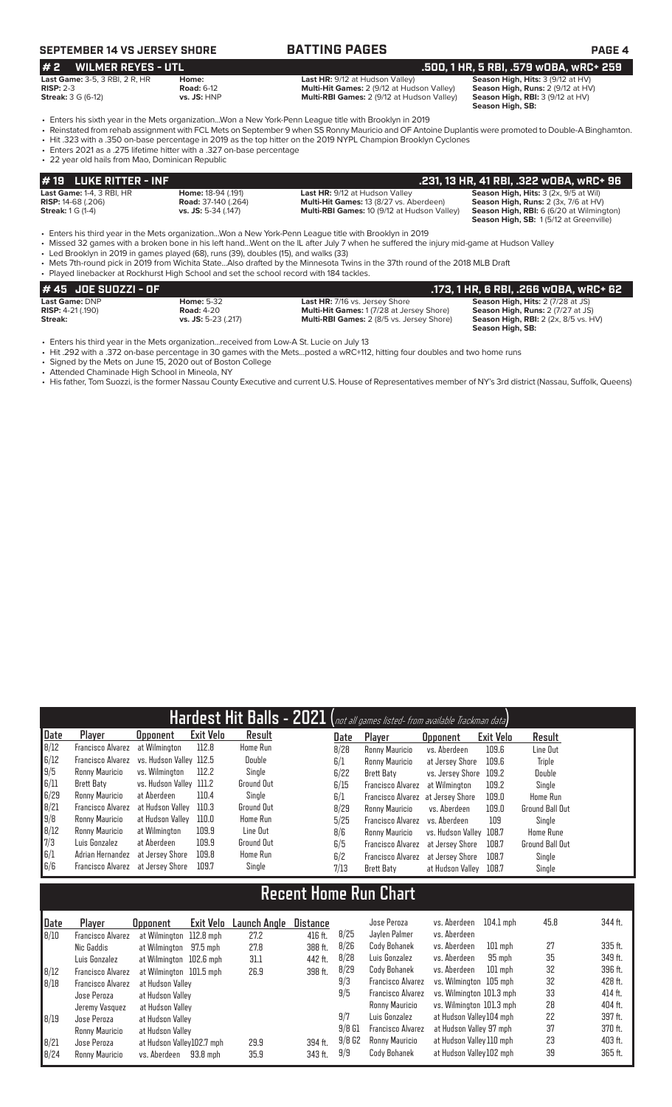# **SEPTEMBER 14 VS JERSEY SHORE BATTING PAGES PAGE 4**

# **# 2 WILMER REYES - UTL .500, 1 HR, 5 RBI, .579 wOBA, wRC+ 259 Last Game:** 3-5, 3 RBI, 2 R, HR **Home: Last HR:** 9/12 at Hudson Valley) **Season High, Hits:** 3 (9/12 at HV)

**Streak:**  $3 G (6-12)$  **Conditionally Streak:**  $3 G (6-12)$  **vs. JS:** HNP **Multi-RBI Games:**  $2 (9/12$  at Hudson Valley) **Streak:**  $3 G (6-12)$  **vs. JS:** HNP

**RISP:** 2-3 **Road:** 6-12 **Multi-Hit Games:** 2 (9/12 at Hudson Valley) **Season High, Runs:** 2 (9/12 at HV)

Season High, RBI: 3 (9/12 at HV)<br>Season High, SB:

• Enters his sixth year in the Mets organization...Won a New York-Penn League title with Brooklyn in 2019 • Reinstated from rehab assignment with FCL Mets on September 9 when SS Ronny Mauricio and OF Antoine Duplantis were promoted to Double-A Binghamton. • Hit .323 with a .350 on-base percentage in 2019 as the top hitter on the 2019 NYPL Champion Brooklyn Cyclones

- Enters 2021 as a .275 lifetime hitter with a .327 on-base percentage
- 22 year old hails from Mao, Dominican Republic

| # 19 LUKE RITTER - INF           |                            |                                                    | .231, 13 HR, 41 RBI, .322 wOBA, wRC+ 96                |
|----------------------------------|----------------------------|----------------------------------------------------|--------------------------------------------------------|
| <b>Last Game: 1-4, 3 RBI, HR</b> | <b>Home: 18-94 (.191)</b>  | <b>Last HR: 9/12 at Hudson Valley</b>              | <b>Season High, Hits:</b> 3 (2x, 9/5 at Wil)           |
| <b>RISP:</b> 14-68 (.206)        | <b>Road:</b> 37-140 (.264) | <b>Multi-Hit Games: 13 (8/27 vs. Aberdeen)</b>     | <b>Season High, Runs:</b> $2$ ( $3x$ , $7/6$ at $HV$ ) |
| <b>Streak:</b> 1 G (1-4)         | $vs.$ JS: 5-34 (.147)      | <b>Multi-RBI Games: 10 (9/12 at Hudson Valley)</b> | <b>Season High, RBI:</b> 6 (6/20 at Wilmington)        |
|                                  |                            |                                                    | <b>Season High, SB: 1(5/12 at Greenville)</b>          |

• Enters his third year in the Mets organization...Won a New York-Penn League title with Brooklyn in 2019<br>• Missed 32 games with a broken bone in his left hand...Went on the IL after July 7 when he suffered the

• Missed 32 games with a broken bone in his left hand...Went on the IL after July 7 when he suffered the injury mid-game at Hudson Valley

• Led Brooklyn in 2019 in games played (68), runs (39), doubles (15), and walks (33)

• Mets 7th-round pick in 2019 from Wichita State...Also drafted by the Minnesota Twins in the 37th round of the 2018 MLB Draft • Played linebacker at Rockhurst High School and set the school record with 184 tackles.

| # 45 JOE SUOZZI - OF       |                     |                                                  | .173, 1 HR, 6 RBI, .266 wOBA, wRC+ 62       |
|----------------------------|---------------------|--------------------------------------------------|---------------------------------------------|
| Last Game: DNP             | <b>Home: 5-32</b>   | <b>Last HR: 7/16 vs. Jersey Shore</b>            | <b>Season High, Hits: 2 (7/28 at JS)</b>    |
| <b>RISP:</b> $4-21$ (.190) | <b>Road: 4-20</b>   | <b>Multi-Hit Games: 1(7/28 at Jersey Shore)</b>  | <b>Season High, Runs: 2 (7/27 at JS)</b>    |
| Streak:                    | vs. JS: 5-23 (.217) | <b>Multi-RBI Games: 2 (8/5 vs. Jersey Shore)</b> | <b>Season High, RBI:</b> 2 (2x, 8/5 vs. HV) |
|                            |                     |                                                  | Season High, SB:                            |

• Enters his third year in the Mets organization...received from Low-A St. Lucie on July 13

• Hit .292 with a .372 on-base percentage in 30 games with the Mets...posted a wRC+112, hitting four doubles and two home runs

• Signed by the Mets on June 15, 2020 out of Boston College

• Attended Chaminade High School in Mineola, NY

• His father, Tom Suozzi, is the former Nassau County Executive and current U.S. House of Representatives member of NY's 3rd district (Nassau, Suffolk, Queens)

|      |                   |                         |                  |                 |      | Hardest Hit Balls - 2021 (not all games listed- from available Trackman data) |                         |           |                        |
|------|-------------------|-------------------------|------------------|-----------------|------|-------------------------------------------------------------------------------|-------------------------|-----------|------------------------|
| Date | Player            | <b>Opponent</b>         | <b>Exit Velo</b> | Result          | Date | Player                                                                        | <b>Opponent</b>         | Exit Velo | Result                 |
| 8/12 | Francisco Alvarez | at Wilmington           | 112.8            | Home Run        | 8/28 | Ronny Mauricio                                                                | vs. Aberdeen            | 109.6     | Line Out               |
| 6/12 | Francisco Alvarez | vs. Hudson Vallev 112.5 |                  | Double          | 6/1  | Ronny Mauricio                                                                | at Jersey Shore         | 109.6     | Triple                 |
| 19/5 | Ronny Mauricio    | vs. Wilminaton          | 112.2            | Single          | 6/22 | Brett Baty                                                                    | vs. Jersev Shore        | 109.2     | Double                 |
| 6/11 | Brett Baty        | vs. Hudson Valley 111.2 |                  | Ground Out      | 6/15 | <b>Francisco Alvarez</b>                                                      | at Wilmington           | 109.2     | Single                 |
| 6/29 | Ronny Mauricio    | at Aberdeen             | 110.4            | Single          | 6/1  | Francisco Alvarez at Jersey Shore                                             |                         | 109.0     | Home Run               |
| 8/21 | Francisco Alvarez | at Hudson Vallev        | 110.3            | Ground Out      | 8/29 | Ronny Mauricio                                                                | vs. Aberdeen            | 109.0     | Ground Ball Out        |
| 9/8  | Ronny Mauricio    | at Hudson Valley        | 110.0            | <b>Home Run</b> | 5/25 | Francisco Alvarez                                                             | vs. Aberdeen            | 109       | Single                 |
| 8/12 | Ronny Mauricio    | at Wilmington           | 109.9            | Line Out        | 8/6  | Ronny Mauricio                                                                | vs. Hudson Valley 108.7 |           | <b>Home Rune</b>       |
| 7/3  | Luis Gonzalez     | at Aberdeen             | 109.9            | Ground Out      | 6/5  | <b>Francisco Alvarez</b>                                                      | at Jersev Shore         | 108.7     | <b>Ground Ball Out</b> |
| 6/1  | Adrian Hernandez  | at Jersey Shore         | 109.8            | <b>Home Run</b> | 6/2  | <b>Francisco Alvarez</b>                                                      | at Jersev Shore         | 108.7     | Single                 |
| 6/6  | Francisco Alvarez | at Jersev Shore         | 109.7            | Single          | 7/13 | Brett Baty                                                                    | at Hudson Valley        | 108.7     | Single                 |

# **Recent Home Run Chart**

| Date | Player                   | <b>Opponent</b>           | Exit Velo | Launch Angle | Distance |          | Jose Peroza              | vs. Aberdeen             | $104.1$ mph | 45.8 | 344 ft. |
|------|--------------------------|---------------------------|-----------|--------------|----------|----------|--------------------------|--------------------------|-------------|------|---------|
| 8/10 | Francisco Alvarez        | at Wilmington 112.8 mph   |           | 27.2         | 416 ft.  | 8/25     | Jaylen Palmer            | vs. Aberdeen             |             |      |         |
|      | Nic Gaddis               | at Wilmington             | 97.5 mph  | 27.8         | 388 ft.  | 8/26     | Cody Bohanek             | vs. Aberdeen             | $101$ mph   | 27   | 335 ft. |
|      | Luis Gonzalez            | at Wilmington 102.6 mph   |           | 31.1         | 442 ft.  | 8/28     | Luis Gonzalez            | vs. Aberdeen             | 95 mph      | 35   | 349 ft. |
| 8/12 | <b>Francisco Alvarez</b> | at Wilmington 101.5 mph   |           | 26.9         | 398 ft.  | 8/29     | Cody Bohanek             | vs. Aberdeen             | $101$ mph   | 32   | 396 ft. |
| 8/18 | <b>Francisco Alvarez</b> | at Hudson Valley          |           |              |          | 9/3      | <b>Francisco Alvarez</b> | vs. Wilminaton 105 mph   |             | 32   | 428 ft. |
|      | Jose Peroza              | at Hudson Valley          |           |              |          | 9/5      | <b>Francisco Alvarez</b> | vs. Wilmington 101.3 mph |             | 33   | 414 ft. |
|      | Jeremy Vasquez           | at Hudson Vallev          |           |              |          |          | <b>Ronny Mauricio</b>    | vs. Wilminaton 101.3 mph |             | 28   | 404 ft. |
| 8/19 | Jose Peroza              | at Hudson Valley          |           |              |          | 9/7      | Luis Gonzalez            | at Hudson Valley 104 mph |             | 22   | 397 ft. |
|      | Ronny Mauricio           | at Hudson Valley          |           |              |          | $9/8$ G1 | <b>Francisco Alvarez</b> | at Hudson Valley 97 mph  |             | 37   | 370 ft. |
| 8/21 | Jose Peroza              | at Hudson Valley102.7 mph |           | 29.9         | 394 ft.  | 9/8G2    | Ronny Mauricio           | at Hudson Valley 110 mph |             | 23   | 403 ft. |
| B/24 | Ronny Mauricio           | vs. Aberdeen              | 93.8 mph  | 35.9         | 343 ft.  | 9/9      | Cody Bohanek             | at Hudson Valley 102 mph |             | 39   | 365 ft. |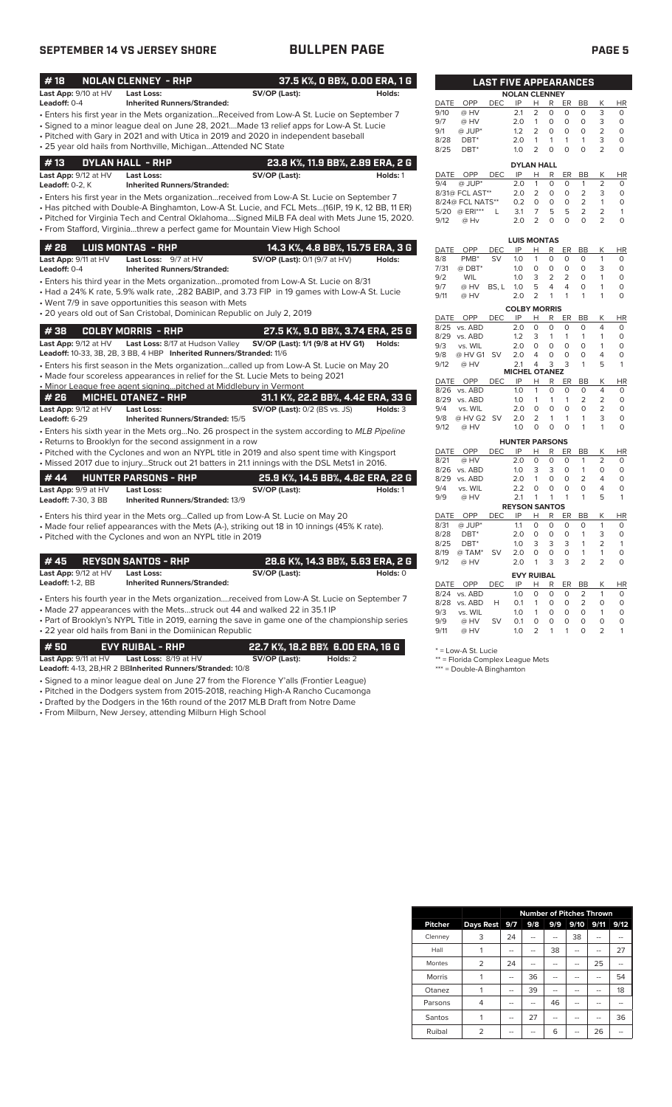# **SEPTEMBER 14 VS JERSEY SHORE BULLPEN PAGE PAGE 5**

| #18                  | <b>NOLAN CLENNEY - RHP</b>                                              |                                                                                                 | 37.5 K%, O BB%, O.OO ERA, 1 G    |              |                          | <b>LAST FIVE APPEARANCES</b> |                             |                     |                  |                |                |                     |               |
|----------------------|-------------------------------------------------------------------------|-------------------------------------------------------------------------------------------------|----------------------------------|--------------|--------------------------|------------------------------|-----------------------------|---------------------|------------------|----------------|----------------|---------------------|---------------|
| Last App: 9/10 at HV | Last Loss:                                                              | SV/OP (Last):                                                                                   | Holds:                           |              |                          |                              | <b>NOLAN CLENNEY</b>        |                     |                  |                |                |                     |               |
| Leadoff: 0-4         | <b>Inherited Runners/Stranded:</b>                                      |                                                                                                 |                                  | DATE         | OPP                      | <b>DEC</b>                   | IP                          | H                   | R                | ER             | BB             | Κ                   | HI            |
|                      |                                                                         | • Enters his first year in the Mets organizationReceived from Low-A St. Lucie on September 7    |                                  | 9/10         | @ HV                     |                              | 2.1                         | 2                   | $\circ$          | 0              | $\circ$        | 3                   | 0             |
|                      |                                                                         | • Signed to a minor league deal on June 28, 2021Made 13 relief apps for Low-A St. Lucie         |                                  | 9/7          | @ HV                     |                              | 2.0                         | $\mathbf{1}$        | $\circ$          | $\circ$        | $\circ$        | 3                   | $\circ$       |
|                      |                                                                         | • Pitched with Gary in 2021 and with Utica in 2019 and 2020 in independent baseball             |                                  | 9/1          | @ JUP*                   |                              | 1.2                         | $\overline{2}$      | 0                | $\circ$        | $\circ$        | $\overline{2}$      | $\Omega$      |
|                      | • 25 year old hails from Northville, MichiganAttended NC State          |                                                                                                 |                                  | 8/28         | $DBT^*$                  |                              | 2.0                         | $\mathbf{1}$        | $\mathbf{1}$     | $\mathbf{1}$   | $\mathbf{1}$   | 3                   | $\Omega$      |
|                      |                                                                         |                                                                                                 |                                  | 8/25         | DBT*                     |                              | 1.0                         | $\overline{2}$      | $\mathbf 0$      | $\circ$        | $\circ$        | $\overline{2}$      | 0             |
| #13                  | <b>DYLAN HALL - RHP</b>                                                 |                                                                                                 | 23.8 K%, 11.9 BB%, 2.89 ERA, 2 G |              |                          |                              | <b>DYLAN HALL</b>           |                     |                  |                |                |                     |               |
| Last App: 9/12 at HV | Last Loss:                                                              | SV/OP (Last):                                                                                   | Holds: 1                         | DATE         | <b>OPP</b>               | <b>DEC</b>                   | IP                          | Н                   | R                | ER             | BB             | Κ                   | HI            |
| Leadoff: 0-2, K      | <b>Inherited Runners/Stranded:</b>                                      |                                                                                                 |                                  | 9/4          | @ JUP*                   |                              | 2.0                         | $\mathbf{1}$        | $\circ$          | $\circ$        | $\mathbf{1}$   | $\overline{2}$      | $\circ$       |
|                      |                                                                         | • Enters his first year in the Mets organizationreceived from Low-A St. Lucie on September 7    |                                  |              | 8/31@ FCL AST**          |                              | 2.0                         | $\overline{2}$      | $\circ$          | 0              | $\overline{2}$ | 3                   | $\circ$       |
|                      |                                                                         | • Has pitched with Double-A Binghamton, Low-A St. Lucie, and FCL Mets(16IP, 19 K, 12 BB, 11 ER) |                                  |              | 8/24@ FCL NATS**         |                              | 0.2                         | $\circ$             | $\circ$          | $\mathsf O$    | 2              | $\mathbf{1}$        | 0             |
|                      |                                                                         | . Pitched for Virginia Tech and Central OklahomaSigned MiLB FA deal with Mets June 15, 2020.    |                                  |              | 5/20 @ ERI***            | L                            | 3.1                         | $\overline{7}$      | 5                | 5              | $\overline{2}$ | $\overline{2}$      | 1             |
|                      |                                                                         | • From Stafford, Virginiathrew a perfect game for Mountain View High School                     |                                  | 9/12         | @ Hv                     |                              | 2.0                         | $\overline{2}$      | $\Omega$         | $\Omega$       | $\Omega$       | $\overline{2}$      | $\circ$       |
|                      |                                                                         |                                                                                                 |                                  |              |                          |                              | <b>LUIS MONTAS</b>          |                     |                  |                |                |                     |               |
| #28                  | <b>LUIS MONTAS - RHP</b>                                                |                                                                                                 | 14.3 K%, 4.8 BB%, 15.75 ERA, 3 G | DATE         | OPP                      | <b>DEC</b>                   | IP                          | н                   | R                | ER             | BB             | K                   | HI            |
| Last App: 9/11 at HV | Last Loss: 9/7 at HV                                                    | <b>SV/OP (Last): 0/1 (9/7 at HV)</b>                                                            | Holds:                           | 8/8          | PMB <sup>*</sup>         | <b>SV</b>                    | 1.0                         | 1                   | $\mathbf 0$      | $\circ$        | $\circ$        | $\mathbf{1}$        | $\mathbf 0$   |
| Leadoff: $0-4$       | <b>Inherited Runners/Stranded:</b>                                      |                                                                                                 |                                  | 7/31         | @ DBT*                   |                              | 1.0                         | $\circ$             | $\circ$          | $\circ$        | $\Omega$       | 3                   | $\Omega$      |
|                      |                                                                         |                                                                                                 |                                  | 9/2          | WIL                      |                              | 1.0                         | 3                   | $\overline{2}$   | $\overline{2}$ | $\circ$        | $\mathbf{1}$        | $\Omega$      |
|                      |                                                                         | • Enters his third year in the Mets organizationpromoted from Low-A St. Lucie on 8/31           |                                  | 9/7          | @ HV                     | BS. L                        | 1.0                         | 5                   | $\overline{4}$   | $\overline{4}$ | $\circ$        | $\mathbf{1}$        | $\circ$       |
|                      |                                                                         | • Had a 24% K rate, 5.9% walk rate, .282 BABIP, and 3.73 FIP in 19 games with Low-A St. Lucie   |                                  | 9/11         | @ HV                     |                              | 2.0                         | 2                   | $\mathbf{1}$     | $\mathbf{1}$   | $\mathbf{1}$   | $\mathbf{1}$        | $\circ$       |
|                      | • Went 7/9 in save opportunities this season with Mets                  |                                                                                                 |                                  |              |                          |                              | <b>COLBY MORRIS</b>         |                     |                  |                |                |                     |               |
|                      | • 20 years old out of San Cristobal, Dominican Republic on July 2, 2019 |                                                                                                 |                                  | DATE         | OPP                      | <b>DEC</b>                   | IP                          | н                   | R                | ER             | BB             | Κ                   | HI            |
|                      |                                                                         |                                                                                                 |                                  |              | 8/25 vs. ABD             |                              | 2.0                         | $\circ$             | 0                | $\circ$        | $\circ$        | $\overline{4}$      | $\circ$       |
| #38                  | <b>COLBY MORRIS - RHP</b>                                               |                                                                                                 | 27.5 K%, 9.0 BB%, 3.74 ERA, 25 G |              | 8/29 vs. ABD             |                              | 1.2                         | 3                   | $\mathbf{1}$     | $\mathbf{1}$   | $\mathbf{1}$   | $\mathbf{1}$        | $\Omega$      |
| Last App: 9/12 at HV |                                                                         | Last Loss: 8/17 at Hudson Valley SV/OP (Last): 1/1 (9/8 at HV G1) Holds:                        |                                  | 9/3          | vs. WIL                  |                              | 2.0                         | $\circ$             | $\mathsf O$      | $\mathsf O$    | $\circ$        | $\mathbf{1}$        | $\circ$       |
|                      | Leadoff: 10-33, 3B, 2B, 3 BB, 4 HBP Inherited Runners/Stranded: 11/6    |                                                                                                 |                                  | 9/8          | @ HV G1 SV               |                              | 2.0                         | $\overline{4}$      | $\circ$          | $\circ$        | $\mathbf 0$    | 4                   | $\circ$       |
|                      |                                                                         | • Enters his first season in the Mets organizationcalled up from Low-A St. Lucie on May 20      |                                  | 9/12         | @ HV                     |                              | 2.1                         | $\overline{4}$      | 3                | 3              | $\mathbf{1}$   | 5                   | $\mathbf{1}$  |
|                      |                                                                         | • Made four scoreless appearances in relief for the St. Lucie Mets to being 2021                |                                  |              |                          |                              | <b>MICHEL OTANEZ</b>        |                     |                  |                |                |                     |               |
|                      | • Minor League free agent signing pitched at Middlebury in Vermont      |                                                                                                 |                                  |              | DATE OPP<br>8/26 vs. ABD | <b>DEC</b>                   | IP<br>1.0                   | H<br>$\mathbf{1}$   | R<br>$\mathbf 0$ | ER<br>0        | BB<br>$\circ$  | Κ<br>$\overline{4}$ | HI<br>$\circ$ |
| #26                  | <b>MICHEL OTANEZ - RHP</b>                                              | 31.1 K%, 22.2 BB%, 4.42 ERA, 33 G                                                               |                                  |              | 8/29 vs. ABD             |                              | 1.0                         | $\mathbf{1}$        | 1                | $\mathbf{1}$   | $\overline{2}$ | $\overline{2}$      | 0             |
| Last App: 9/12 at HV | <b>Last Loss:</b>                                                       | <b>SV/OP (Last):</b> 0/2 (BS vs. JS)                                                            | Holds: 3                         | 9/4          | vs. WIL                  |                              | 2.0                         | $\circ$             | $\circ$          | $\circ$        | $\Omega$       | $\overline{2}$      | $\Omega$      |
| Leadoff: 6-29        | <b>Inherited Runners/Stranded: 15/5</b>                                 |                                                                                                 |                                  | 9/8          | @ HV G2 SV               |                              | 2.0                         | 2                   | $\mathbf{1}$     | $\mathbf{1}$   | 1              | 3                   | $\circ$       |
|                      |                                                                         |                                                                                                 |                                  | 9/12         | @ HV                     |                              | 1.0                         | $\circ$             | $\Omega$         | $\Omega$       | 1              | $\mathbf{1}$        | 0             |
|                      |                                                                         | · Enters his sixth year in the Mets org No. 26 prospect in the system according to MLB Pipeline |                                  |              |                          |                              |                             |                     |                  |                |                |                     |               |
|                      | • Returns to Brooklyn for the second assignment in a row                |                                                                                                 |                                  |              | OPP                      | <b>DEC</b>                   | <b>HUNTER PARSONS</b><br>IP |                     | R                |                | BB             | К                   | HI            |
|                      |                                                                         | • Pitched with the Cyclones and won an NYPL title in 2019 and also spent time with Kingsport    |                                  | DATE<br>8/21 | @ HV                     |                              | 2.0                         | н<br>$\circ$        | $\circ$          | ER<br>$\circ$  | 1              | $\overline{2}$      | $\mathbf 0$   |
|                      |                                                                         | • Missed 2017 due to injuryStruck out 21 batters in 21.1 innings with the DSL Mets1 in 2016.    |                                  |              | 8/26 vs. ABD             |                              | 1.0                         | 3                   | 3                | $\circ$        | $\mathbf{1}$   | $\circ$             | $\mathbf 0$   |
| #44                  | <b>HUNTER PARSONS - RHP</b>                                             | 25.9 K%, 14.5 BB%, 4.82 ERA, 22 G                                                               |                                  |              | 8/29 vs. ABD             |                              | 2.0                         | $\mathbf{1}$        | $\circ$          | $\circ$        | $\overline{2}$ | $\overline{4}$      | 0             |
| Last App: 9/9 at HV  | <b>Last Loss:</b>                                                       | SV/OP (Last):                                                                                   | Holds: 1                         | 9/4          | vs. WIL                  |                              | 2.2                         | $\circ$             | $\circ$          | $\circ$        | $\circ$        | $\overline{4}$      | $\mathbf 0$   |
| Leadoff: 7-30, 3 BB  | Inherited Runners/Stranded: 13/9                                        |                                                                                                 |                                  | 9/9          | @ HV                     |                              | 2.1                         | $\mathbf{1}$        | $\mathbf{1}$     | $\mathbf{1}$   | 1              | 5                   | $\mathbf{1}$  |
|                      |                                                                         |                                                                                                 |                                  |              |                          |                              | <b>REYSON SANTOS</b>        |                     |                  |                |                |                     |               |
|                      |                                                                         | • Enters his third year in the Mets orgCalled up from Low-A St. Lucie on May 20                 |                                  | <b>DATE</b>  | OPP                      | <b>DEC</b>                   | IP                          | Н                   | R                | ER             | <b>BB</b>      | K                   | HI            |
|                      |                                                                         | • Made four relief appearances with the Mets (A-), striking out 18 in 10 innings (45% K rate).  |                                  | 8/31         | $@$ JUP*                 |                              | 1.1                         | $\mathbf 0$         | 0                | $\circ$        | $\circ$        | $\mathbf{1}$        | $\mathbf 0$   |
|                      | • Pitched with the Cyclones and won an NYPL title in 2019               |                                                                                                 |                                  | 8/28         | $DBT^*$                  |                              | 2.0                         | $\circ$             | 0                | $\circ$        | $\mathbf{1}$   | 3                   | $\mathbf 0$   |
|                      |                                                                         |                                                                                                 |                                  | 8/25         | DBT*                     |                              | 1.0                         | 3                   | 3                | 3              | $\mathbf{1}$   | 2                   | $\mathbf{1}$  |
|                      |                                                                         |                                                                                                 |                                  | 8/19         | @ TAM*                   | <b>SV</b>                    | 2.0                         | $\mathsf{O}\xspace$ | $\mathsf O$      | $\mathsf O$    | $\mathbf{1}$   | $\mathbf{1}$        | $\mathbf 0$   |
| #45                  | REYSON SANTOS - RHP                                                     |                                                                                                 | 28.6 K%, 14.3 BB%, 5.63 ERA, 2 G | 9/12         | @ HV                     |                              | 2.0                         | $\mathbf{1}$        | 3                | 3              | $\overline{2}$ | $\overline{2}$      | $\Omega$      |
| Last App: 9/12 at HV | <b>Last Loss:</b>                                                       | SV/OP (Last):                                                                                   | Holds: 0                         |              |                          |                              | <b>EVY RUIBAL</b>           |                     |                  |                |                |                     |               |

| <b>Last App.</b> 3/12 at TIV | Last Luss.                         | <b>JV/UF</b> (Last). | nvius. |
|------------------------------|------------------------------------|----------------------|--------|
| <b>Leadoff:</b> 1-2. $BB$    | <b>Inherited Runners/Stranded:</b> |                      |        |

• Enters his fourth year in the Mets organization....received from Low-A St. Lucie on September 7 • Made 27 appearances with the Mets...struck out 44 and walked 22 in 35.1 IP

• Part of Brooklyn's NYPL Title in 2019, earning the save in game one of the championship series • 22 year old hails from Bani in the Domiinican Republic

**# 50 EVY RUIBAL - RHP 22.7 K%, 18.2 BB% 6.00 ERA, 16 G Last App:** 9/11 at HV **Last Loss:** 8/19 at HV **SV/OP (Last): Holds:** 2

**Leadoff:** 4-13, 2B,HR 2 BB**Inherited Runners/Stranded:** 10/8

- Signed to a minor league deal on June 27 from the Florence Y'alls (Frontier League)
- Pitched in the Dodgers system from 2015-2018, reaching High-A Rancho Cucamonga
- Drafted by the Dodgers in the 16th round of the 2017 MLB Draft from Notre Dame

• From Milburn, New Jersey, attending Milburn High School

|             |                    | <b>LAST FIVE APPEARANCES</b> |                      |                |          |          |                |                |          |
|-------------|--------------------|------------------------------|----------------------|----------------|----------|----------|----------------|----------------|----------|
|             |                    |                              | <b>NOLAN CLENNEY</b> |                |          |          |                |                |          |
| <b>DATE</b> | OPP                | DEC                          | IP                   | н              | R        | ER       | <b>BB</b>      | K              | HR       |
| 9/10        | @ HV               |                              | 2.1                  | $\overline{2}$ | 0        | O        | O              | 3              | 0        |
| 9/7         | @ HV               |                              | 2.0                  | 1              | $\Omega$ | 0        | O              | 3              | 0        |
| 9/1         | @ JUP*             |                              | 1.2                  | $\overline{2}$ | 0        | 0        | O              | $\overline{2}$ | 0        |
| 8/28        | DBT*               |                              | 2.0                  | 1              | 1        | 1        | 1              | 3              | $\Omega$ |
| 8/25        | DBT*               |                              | 1.0                  | $\overline{2}$ | $\Omega$ | ი        | 0              | $\overline{2}$ | $\Omega$ |
|             |                    |                              | <b>DYLAN HALL</b>    |                |          |          |                |                |          |
| DATE        | OPP                | DEC                          | IP                   | н              | R        | ER       | <b>BB</b>      | K              | ΗR       |
| 9/4         | $@$ JUP*           |                              | 2.0                  | 1              | 0        | 0        | 1              | $\overline{2}$ | O        |
|             | 8/31@ FCL AST**    |                              | 2.0                  | 2              | O        | $\Omega$ | $\overline{2}$ | 3              | $\Omega$ |
|             | $R/24@$ FCL NATS** |                              | ∩⊇                   | ∩              | ∩        | ∩        | っ              | 1              | $\cap$   |

|              | 8/24@ FCL NATS** |            | 0.2                  | O              | 0 | 0      | 2                   | 1      | 0        |
|--------------|------------------|------------|----------------------|----------------|---|--------|---------------------|--------|----------|
| 5/20         | @ ERI***         | L          | 3.1                  | 7              | 5 | 5      | 2                   | 2      | 1        |
| 9/12         | @ Hv             |            | 2.0                  | 2              | 0 | O      | 0                   | 2      | $\Omega$ |
|              |                  |            |                      |                |   |        |                     |        |          |
|              |                  |            | <b>LUIS MONTAS</b>   |                |   |        |                     |        |          |
| DATE         | OPP              | <b>DEC</b> | IP                   | н              | R | ER     | BB                  | Κ      | ΗR       |
| 8/8          | PMB <sup>*</sup> | SV         | 1.0                  | 1              | 0 | 0      | 0                   | 1      | 0        |
| 7/31         | $@$ DBT*         |            | 1.0                  | 0              | 0 | 0      | 0                   | 3      | 0        |
| 9/2          | <b>WIL</b>       |            | 1.0                  | 3              | 2 | 2      | 0                   | 1      | 0        |
| 9/7          | @ HV             | BS. L      | 1.0                  | 5              | 4 | 4      | 0                   | 1      | 0        |
| 9/11         | @ HV             |            | 2.0                  | $\overline{2}$ | 1 | 1      | 1                   | 1      | 0        |
|              |                  |            |                      |                |   |        |                     |        |          |
|              |                  |            | <b>COLBY MORRIS</b>  |                |   |        |                     |        |          |
| DATE         | OPP              | DEC        | IP                   | н              | R | ER     | ВB                  | Κ      | ΗR       |
| 8/25         | vs. ABD          |            | 2.0                  | 0              | 0 | 0      | 0                   | 4      | 0        |
| 8/29         | vs. ABD          |            | 1.2                  | 3              | 1 | 1      | 1                   | 1      | 0        |
| 9/3          | vs. WIL          |            | 2.0                  | 0              | O | 0      | 0                   | 1      | 0        |
| 9/8          | @ HV G1          | SV         | 2.0                  | 4              | 0 | O      | 0                   | 4      | 0        |
| 9/12         | @ HV             |            | 2.1                  | 4              | 3 | 3      | 1                   | 5      | 1        |
|              |                  |            | <b>MICHEL OTANEZ</b> |                |   |        |                     |        |          |
| DATE         | OPP              | <b>DEC</b> | IP                   | н              | R | ER     | BB                  | Κ      | HR       |
| 8/26<br>8/29 | vs. ABD          |            | 1.0<br>1.0           | 1              | 0 | 0<br>1 | 0<br>$\overline{2}$ | 4<br>2 | 0        |

| 9/12        | @ HV    |            | 1.0                   | O              | $\Omega$ | 0  | 1              | 1              | $\Omega$ |
|-------------|---------|------------|-----------------------|----------------|----------|----|----------------|----------------|----------|
|             |         |            | <b>HUNTER PARSONS</b> |                |          |    |                |                |          |
| <b>DATE</b> | OPP     | <b>DEC</b> | IP                    | н              | R        | ER | BB             | Κ              | HR       |
| 8/21        | @ HV    |            | 2.0                   | 0              | 0        | 0  | 1              | 2              | 0        |
| 8/26        | vs. ABD |            | 1.0                   | 3              | 3        | 0  | 1              | 0              | 0        |
| 8/29        | vs. ABD |            | 2.0                   | 1              | O        | O  | $\overline{2}$ | 4              | 0        |
| 9/4         | vs. WIL |            | 2.2                   | O              | 0        | O  | $\Omega$       | 4              | 0        |
| 9/9         | @ HV    |            | 2.1                   | 1              | 1        | 1  | 1              | 5              | 1        |
|             |         |            | <b>REYSON SANTOS</b>  |                |          |    |                |                |          |
| DATE        | OPP     | DEC        | IP                    | н              | R        | ER | BB             | Κ              | ΗR       |
| 8/31        | @ JUP*  |            | 1.1                   | $\Omega$       | 0        | 0  | $\Omega$       | 1              | 0        |
| 8/28        | DBT*    |            | 2.0                   | 0              | 0        | 0  | 1              | 3              | 0        |
| 8/25        | DBT*    |            | 1.0                   | 3              | 3        | 3  | 1              | $\overline{2}$ | 1        |
| 8/19        | @ TAM*  | SV         | 2.0                   | $\Omega$       | 0        | 0  | 1              | 1              | 0        |
| 9/12        | @ HV    |            | 2.0                   | 1              | 3        | 3  | 2              | $\overline{2}$ | 0        |
|             |         |            | <b>EVY RUIBAL</b>     |                |          |    |                |                |          |
| <b>DATE</b> | OPP     | DEC        | IP                    | н              | R        | ER | BB             | Κ              | ΗR       |
| 8/24        | vs. ABD |            | 1.0                   | 0              | 0        | O  | 2              | 1              | 0        |
| 8/28        | vs. ABD | н          | 0.1                   | 1              | 0        | 0  | 2              | 0              | 0        |
| 9/3         | vs. WIL |            | 1.0                   | 1              | 0        | O  | 0              | 1              | 0        |
| 9/9         | @ HV    | SV         | 0.1                   | 0              | 0        | 0  | 0              | 0              | 0        |
| 9/11        | @ HV    |            | 1.0                   | $\overline{2}$ | 1        | 1  | 0              | 2              | 1        |
|             |         |            |                       |                |          |    |                |                |          |

\* = Low-A St. Lucie

\*\* = Florida Complex League Mets

\*\*\* = Double-A Binghamton

|                |               | <b>Number of Pitches Thrown</b> |     |     |      |                |      |  |  |  |  |  |
|----------------|---------------|---------------------------------|-----|-----|------|----------------|------|--|--|--|--|--|
| <b>Pitcher</b> | Days Rest 9/7 |                                 | 9/8 | 9/9 | 9/10 | 9/11           | 9/12 |  |  |  |  |  |
| Clenney        | 3             | 24                              |     |     | 38   |                |      |  |  |  |  |  |
| Hall           |               | --                              |     | 38  | --   |                | 27   |  |  |  |  |  |
| Montes         | 2             | 24                              |     |     | --   | 25             |      |  |  |  |  |  |
| Morris         |               | --                              | 36  | --  | --   | $\overline{a}$ | 54   |  |  |  |  |  |
| Otanez         |               |                                 | 39  | -   |      |                | 18   |  |  |  |  |  |
| Parsons        | 4             |                                 |     | 46  |      |                |      |  |  |  |  |  |
| Santos         |               |                                 | 27  |     |      |                | 36   |  |  |  |  |  |
| Ruibal         | 2             |                                 |     | 6   |      | 26             |      |  |  |  |  |  |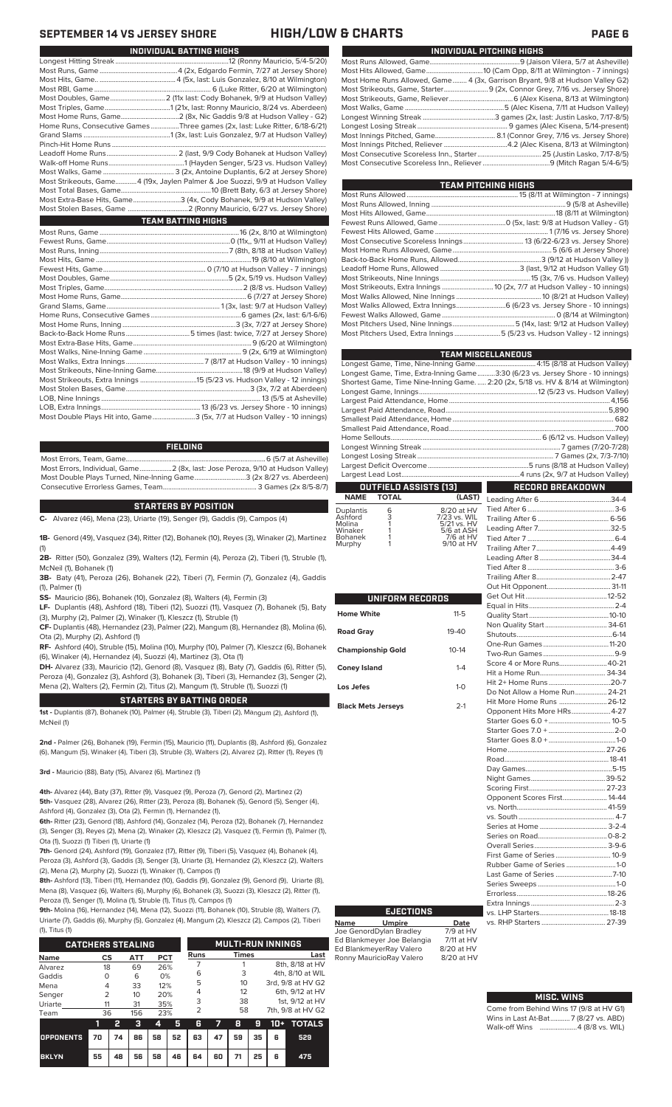| INDIVIDUAL PITCHING HIGHS                                                     |  |
|-------------------------------------------------------------------------------|--|
|                                                                               |  |
|                                                                               |  |
| Most Home Runs Allowed, Game 4 (3x, Garrison Bryant, 9/8 at Hudson Valley G2) |  |
|                                                                               |  |
|                                                                               |  |
|                                                                               |  |
|                                                                               |  |
|                                                                               |  |
|                                                                               |  |
|                                                                               |  |
|                                                                               |  |
|                                                                               |  |
|                                                                               |  |

| TEAM PITCHING HIGHS |                                                                            |
|---------------------|----------------------------------------------------------------------------|
|                     |                                                                            |
|                     |                                                                            |
|                     |                                                                            |
|                     |                                                                            |
|                     |                                                                            |
|                     |                                                                            |
|                     |                                                                            |
|                     |                                                                            |
|                     |                                                                            |
|                     |                                                                            |
|                     | Most Strikeouts, Extra Innings  10 (2x, 7/7 at Hudson Valley - 10 innings) |
|                     |                                                                            |
|                     |                                                                            |
|                     |                                                                            |
|                     |                                                                            |
|                     | Most Pitchers Used, Extra Innings 5 (5/23 vs. Hudson Valley - 12 innings)  |

| <b>TEAM MISCELLANEOUS</b>    |                                                                                    |  |  |  |  |  |  |
|------------------------------|------------------------------------------------------------------------------------|--|--|--|--|--|--|
|                              |                                                                                    |  |  |  |  |  |  |
|                              | Longest Game, Time, Extra-Inning Game3:30 (6/23 vs. Jersey Shore - 10 innings)     |  |  |  |  |  |  |
|                              | Shortest Game, Time Nine-Inning Game.  2:20 (2x, 5/18 vs. HV & 8/14 at Wilmington) |  |  |  |  |  |  |
|                              |                                                                                    |  |  |  |  |  |  |
|                              |                                                                                    |  |  |  |  |  |  |
|                              |                                                                                    |  |  |  |  |  |  |
|                              |                                                                                    |  |  |  |  |  |  |
|                              |                                                                                    |  |  |  |  |  |  |
|                              |                                                                                    |  |  |  |  |  |  |
|                              |                                                                                    |  |  |  |  |  |  |
|                              |                                                                                    |  |  |  |  |  |  |
|                              |                                                                                    |  |  |  |  |  |  |
|                              |                                                                                    |  |  |  |  |  |  |
| <b>OUTFIELD ASSISTS [13]</b> | RECORD BREAKDOWN                                                                   |  |  |  |  |  |  |

### **OUTFIELD ASSISTS (13) TOTAL** Leading After 6........................................34-4

| Duplantis | 6 | 8/20 at HV   |
|-----------|---|--------------|
| Ashford   | 3 | 7/23 vs. WIL |
| Molina    |   | 5/21 vs. HV  |
| Winaker   |   | 5/6 at ASH   |
| Bohanek   |   | 7/6 at HV    |
| Murphy    |   | 9/10 at HV   |
|           |   |              |

| UNIFORM RECORDS           |              |  |  |  |  |  |  |  |
|---------------------------|--------------|--|--|--|--|--|--|--|
| Home White                | $11 - 5$     |  |  |  |  |  |  |  |
| <b>Road Gray</b>          | $19 - 40$    |  |  |  |  |  |  |  |
| <b>Championship Gold</b>  | $10 - 14$    |  |  |  |  |  |  |  |
| <b>Coney Island</b>       | $1 - 4$      |  |  |  |  |  |  |  |
| Los Jefes                 | $1 - \Omega$ |  |  |  |  |  |  |  |
| <b>Black Mets Jerseys</b> | $2-1$        |  |  |  |  |  |  |  |

| Non Quality Start 34-61       |  |
|-------------------------------|--|
|                               |  |
|                               |  |
|                               |  |
| Score 4 or More Runs 40-21    |  |
|                               |  |
|                               |  |
| Do Not Allow a Home Run 24-21 |  |
| Hit More Home Runs  26-12     |  |
| Opponent Hits More HRs 4-27   |  |
|                               |  |
|                               |  |
|                               |  |
|                               |  |
|                               |  |
|                               |  |
|                               |  |
|                               |  |
| Opponent Scores First 14-44   |  |
|                               |  |
|                               |  |
|                               |  |
|                               |  |
|                               |  |
| First Game of Series 10-9     |  |
| Rubber Game of Series1-0      |  |
| Last Game of Series 7-10      |  |
|                               |  |
|                               |  |
|                               |  |
|                               |  |
|                               |  |

### **MISC. WINS**

| Come from Behind Wins 17 (9/8 at HV G1) |                                     |  |  |  |  |  |  |  |
|-----------------------------------------|-------------------------------------|--|--|--|--|--|--|--|
|                                         | Wins in Last At-Bat7 (8/27 vs. ABD) |  |  |  |  |  |  |  |
|                                         | Walk-off Wins 4 (8/8 vs. WIL)       |  |  |  |  |  |  |  |

# **SEPTEMBER 14 VS JERSEY SHORE HIGH/LOW & CHARTS PAGE 6**

| INDIVIDUAL BATTING HIGHS                                                      |
|-------------------------------------------------------------------------------|
|                                                                               |
|                                                                               |
|                                                                               |
|                                                                               |
| Most Doubles, Game 2 (11x last: Cody Bohanek, 9/9 at Hudson Valley)           |
|                                                                               |
|                                                                               |
| Home Runs, Consecutive Games Three games (2x, last: Luke Ritter, 6/18-6/21)   |
|                                                                               |
|                                                                               |
|                                                                               |
|                                                                               |
|                                                                               |
| Most Strikeouts, Game4 (19x, Jaylen Palmer & Joe Suozzi, 9/9 at Hudson Valley |
|                                                                               |
| Most Extra-Base Hits, Game3 (4x, Cody Bohanek, 9/9 at Hudson Valley)          |
|                                                                               |
| <b>TEAM BATTING HIGHS</b>                                                     |
|                                                                               |
|                                                                               |
|                                                                               |
|                                                                               |
|                                                                               |
|                                                                               |
|                                                                               |
|                                                                               |
|                                                                               |
|                                                                               |
|                                                                               |
|                                                                               |
|                                                                               |
|                                                                               |
|                                                                               |
|                                                                               |
|                                                                               |
|                                                                               |
|                                                                               |

### **FIELDING**

.3 (5x, 7/7 at Hudson Valley - 10 innings)

Most Errors, Team, Game...............................................................................6 (5/7 at Asheville) Most Errors, Individual, Game..................2 (8x, last: Jose Peroza, 9/10 at Hudson Valley) Most Double Plays Turned, Nine-Inning Game.............................3 (2x 8/27 vs. Aberdeen) Consecutive Errorless Games, Team.

LOB, Extra Innings........................................................13 (6/23 vs. Jersey Shore - 10 innings)

### **STARTERS BY POSITION**

**C-** Alvarez (46), Mena (23), Uriarte (19), Senger (9), Gaddis (9), Campos (4)

**1B-** Genord (49), Vasquez (34), Ritter (12), Bohanek (10), Reyes (3), Winaker (2), Martinez (1)

**2B-** Ritter (50), Gonzalez (39), Walters (12), Fermin (4), Peroza (2), Tiberi (1), Struble (1), McNeil (1), Bohanek (1)

**3B-** Baty (41), Peroza (26), Bohanek (22), Tiberi (7), Fermin (7), Gonzalez (4), Gaddis (1), Palmer (1)

**SS-** Mauricio (86), Bohanek (10), Gonzalez (8), Walters (4), Fermin (3)

**LF-** Duplantis (48), Ashford (18), Tiberi (12), Suozzi (11), Vasquez (7), Bohanek (5), Baty (3), Murphy (2), Palmer (2), Winaker (1), Kleszcz (1), Struble (1)

**CF-** Duplantis (48), Hernandez (23), Palmer (22), Mangum (8), Hernandez (8), Molina (6), Ota (2), Murphy (2), Ashford (1)

**RF-** Ashford (40), Struble (15), Molina (10), Murphy (10), Palmer (7), Kleszcz (6), Bohanek (6), Winaker (4), Hernandez (4), Suozzi (4), Martinez (3), Ota (1)

**DH-** Alvarez (33), Mauricio (12), Genord (8), Vasquez (8), Baty (7), Gaddis (6), Ritter (5), Peroza (4), Gonzalez (3), Ashford (3), Bohanek (3), Tiberi (3), Hernandez (3), Senger (2), Mena (2), Walters (2), Fermin (2), Titus (2), Mangum (1), Struble (1), Suozzi (1)

### **STARTERS BY BATTING ORDER**

**1st -** Duplantis (87), Bohanek (10), Palmer (4), Struble (3), Tiberi (2), Mangum (2), Ashford (1), McNeil (1)

**2nd -** Palmer (26), Bohanek (19), Fermin (15), Mauricio (11), Duplantis (8), Ashford (6), Gonzalez (6), Mangum (5), Winaker (4), Tiberi (3), Struble (3), Walters (2), Alvarez (2), Ritter (1), Reyes (1)

**3rd -** Mauricio (88), Baty (15), Alvarez (6), Martinez (1)

**4th-** Alvarez (44), Baty (37), Ritter (9), Vasquez (9), Peroza (7), Genord (2), Martinez (2) **5th-** Vasquez (28), Alvarez (26), Ritter (23), Peroza (8), Bohanek (5), Genord (5), Senger (4), Ashford (4), Gonzalez (3), Ota (2), Fermin (1), Hernandez (1),

**6th-** Ritter (23), Genord (18), Ashford (14), Gonzalez (14), Peroza (12), Bohanek (7), Hernandez (3), Senger (3), Reyes (2), Mena (2), Winaker (2), Kleszcz (2), Vasquez (1), Fermin (1), Palmer (1), Ota (1), Suozzi (1) Tiberi (1), Uriarte (1)

**7th-** Genord (24), Ashford (19), Gonzalez (17), Ritter (9), Tiberi (5), Vasquez (4), Bohanek (4), Peroza (3), Ashford (3), Gaddis (3), Senger (3), Uriarte (3), Hernandez (2), Kleszcz (2), Walters (2), Mena (2), Murphy (2), Suozzi (1), Winaker (1), Campos (1)

**8th-** Ashford (13), Tiberi (11), Hernandez (10), Gaddis (9), Gonzalez (9), Genord (9), Uriarte (8), Mena (8), Vasquez (6), Walters (6), Murphy (6), Bohanek (3), Suozzi (3), Kleszcz (2), Ritter (1), Peroza (1), Senger (1), Molina (1), Struble (1), Titus (1), Campos (1)

**9th-** Molina (16), Hernandez (14), Mena (12), Suozzi (11), Bohanek (10), Struble (8), Walters (7), Uriarte (7), Gaddis (6), Murphy (5), Gonzalez (4), Mangum (2), Kleszcz (2), Campos (2), Tiberi (1), Titus (1)

| <b>CATCHERS STEALING</b> |               |    |            |     |    | <b>MULTI-RUN INNINGS</b> |    |              |    |                   |                   |
|--------------------------|---------------|----|------------|-----|----|--------------------------|----|--------------|----|-------------------|-------------------|
| <b>Name</b>              | CS            |    | <b>ATT</b> | PCT |    | <b>Runs</b>              |    | <b>Times</b> |    |                   | Last              |
| Alvarez                  | 18            |    | 69         | 26% |    |                          |    |              |    |                   | 8th, 8/18 at HV   |
| Gaddis                   | $\Omega$      |    | 6          | 0%  |    | 6                        |    | 3            |    |                   | 4th, 8/10 at WIL  |
| Mena                     | 4             |    | 33         | 12% |    | 5                        |    | 10           |    | 3rd, 9/8 at HV G2 |                   |
| Senger                   | $\mathcal{P}$ |    | 10         | 20% |    | 4                        |    | 12           |    | 6th, 9/12 at HV   |                   |
| Uriarte                  | 11            |    | 31         | 35% |    | 3                        |    | 38           |    | 1st. 9/12 at HV   |                   |
| Team                     | 36            |    | 156        | 23% |    | $\overline{2}$           |    | 58           |    |                   | 7th, 9/8 at HV G2 |
|                          | 1             | 2  | з          | 4   | 5  | 6                        | 7  | 8            | 9  | $10+$             | <b>TOTALS</b>     |
| <b>OPPONENTS</b>         | 70            | 74 | 86         | 58  | 52 | 63                       | 47 | 59           | 35 | 6                 | 529               |
| <b>BKLYN</b>             | 55            | 48 | 56         | 58  | 46 | 64                       | 60 | 71           | 25 | 6                 | 475               |

| <b>TEAM PITCHING HIGHS</b> |  |
|----------------------------|--|
|                            |  |

| ------- |  |  |  |  |  |  |
|---------|--|--|--|--|--|--|
|         |  |  |  |  |  |  |
|         |  |  |  |  |  |  |
|         |  |  |  |  |  |  |

| <b>EJECTIONS</b> |   |
|------------------|---|
| .                | . |

**Name Umpire Date** Joe GenordDylan Bradley 7/9 at HV Ed Blankmeyer Joe Belangia 7/11 at HV Ed BlankmeyerRay Valero 8/20 at HV<br>Ronny MauricioRay Valero 8/20 at HV Ronny MauricioRay Valero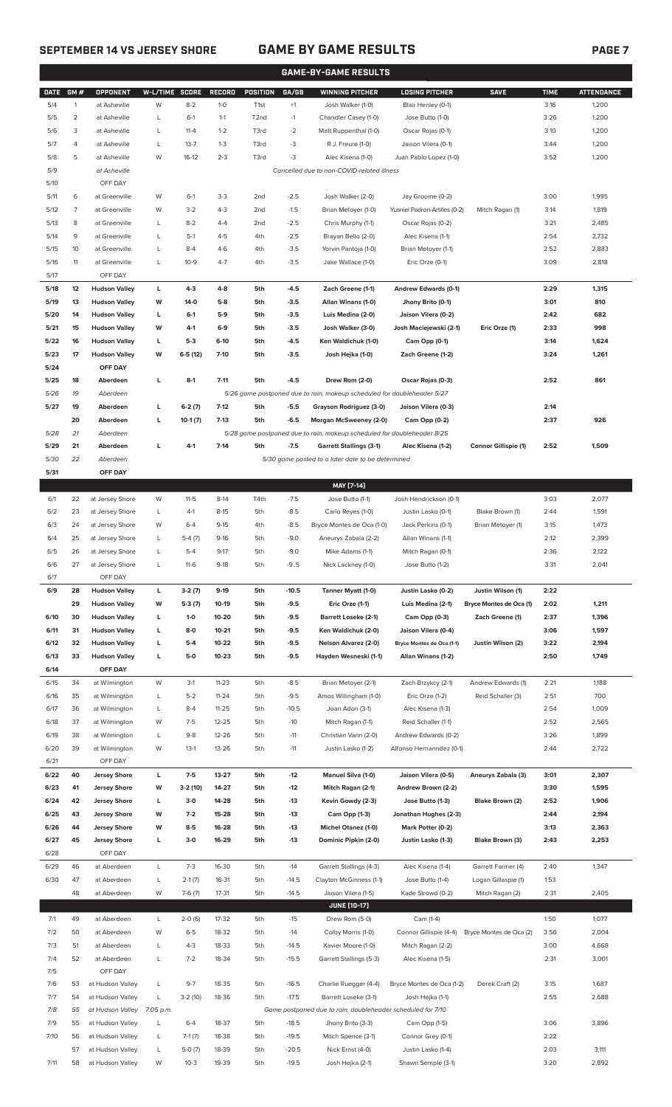# **SEPTEMBER 14 VS JERSEY SHORE GAME BY GAME RESULTS PAGE 7**

|             |                |                      |           |              |               |                   |         | <b>GAME-BY-GAME RESULTS</b>                                             |                               |                         |             |                   |
|-------------|----------------|----------------------|-----------|--------------|---------------|-------------------|---------|-------------------------------------------------------------------------|-------------------------------|-------------------------|-------------|-------------------|
| <b>DATE</b> | GM#            | <b>OPPONENT</b>      | W-L/TIME  | <b>SCORE</b> | <b>RECORD</b> | <b>POSITION</b>   | GA/GB   | <b>WINNING PITCHER</b>                                                  | <b>LOSING PITCHER</b>         | <b>SAVE</b>             | <b>TIME</b> | <b>ATTENDANCE</b> |
| 5/4         | $\mathbf{1}$   | at Asheville         | W         | $8 - 2$      | $1 - 0$       | T <sub>1st</sub>  | $+1$    | Josh Walker (1-0)                                                       | Blair Henley (0-1)            |                         | 3:16        | 1,200             |
| 5/5         | $\overline{c}$ | at Asheville         | L         | $6-1$        | $1 - 1$       | T <sub>2</sub> nd | $-1$    | Chandler Casey (1-0)                                                    | Jose Butto (1-0)              |                         | 3:26        | 1,200             |
| 5/6         | 3              | at Asheville         | L         | $11 - 4$     | $1 - 2$       | T3rd              | $-2$    | Matt Ruppenthal (1-0)                                                   | Oscar Rojas (0-1)             |                         | 3:10        | 1,200             |
|             |                |                      |           | $13 - 7$     |               |                   |         | R.J. Freure (1-0)                                                       |                               |                         |             |                   |
| 5/7         | 4              | at Asheville         | L         |              | $1 - 3$       | T3rd              | -3      |                                                                         | Jaison Vilera (0-1)           |                         | 3:44        | 1,200             |
| 5/8         | 5              | at Asheville         | W         | 16-12        | $2 - 3$       | T3rd              | -3      | Alec Kisena (1-0)                                                       | Juan Pablo Lopez (1-0)        |                         | 3:52        | 1,200             |
| 5/9         |                | at Asheville         |           |              |               |                   |         | Cancelled due to non-COVID-related illness                              |                               |                         |             |                   |
| 5/10        |                | OFF DAY              |           |              |               |                   |         |                                                                         |                               |                         |             |                   |
| 5/11        | 6              | at Greenville        | W         | $6-1$        | $3-3$         | 2nd               | $-2.5$  | Josh Walker (2-0)                                                       | Jay Groome (0-2)              |                         | 3:00        | 1,995             |
| 5/12        | $\overline{7}$ | at Greenville        | W         | $3 - 2$      | $4 - 3$       | 2nd               | $-1.5$  | Brian Metoyer (1-0)                                                     | Yusniel Padron-Artilles (0-2) | Mitch Ragan (1)         | 3:14        | 1,819             |
| 5/13        | 8              | at Greenville        | L         | $8 - 2$      | $4 - 4$       | 2nd               | $-2.5$  | Chris Murphy (1-1)                                                      | Oscar Rojas (0-2)             |                         | 3:21        | 2,485             |
| 5/14        | 9              | at Greenville        | L         | $5-1$        | $4 - 5$       | 4th               | $-2.5$  | Brayan Bello (2-0)                                                      | Alec Kisena (1-1)             |                         | 2:54        | 2,732             |
| 5/15        | 10             | at Greenville        | L         | $8 - 4$      | $4-6$         | 4th               | $-3.5$  | Yorvin Pantoja (1-0)                                                    | Brian Metoyer (1-1)           |                         | 2:52        | 2,883             |
|             |                |                      |           |              |               |                   |         |                                                                         |                               |                         |             |                   |
| 5/16        | 11             | at Greenville        | L         | $10-9$       | $4 - 7$       | 4th               | $-3.5$  | Jake Wallace (1-0)                                                      | Eric Orze (0-1)               |                         | 3:09        | 2,818             |
| 5/17        |                | OFF DAY              |           |              |               |                   |         |                                                                         |                               |                         |             |                   |
| 5/18        | 12             | <b>Hudson Valley</b> | L         | $4 - 3$      | $4 - 8$       | 5th               | $-4.5$  | Zach Greene (1-1)                                                       | Andrew Edwards (0-1)          |                         | 2:29        | 1,315             |
| 5/19        | 13             | <b>Hudson Valley</b> | W         | $14-0$       | $5-8$         | 5th               | $-3.5$  | Allan Winans (1-0)                                                      | Jhony Brito (0-1)             |                         | 3:01        | 810               |
| 5/20        | 14             | <b>Hudson Valley</b> | L         | $6-1$        | $5-9$         | 5th               | $-3.5$  | Luis Medina (2-0)                                                       | Jaison Vilera (0-2)           |                         | 2:42        | 682               |
| 5/21        | 15             | <b>Hudson Valley</b> | W         | $4-1$        | $6-9$         | 5th               | $-3.5$  | Josh Walker (3-0)                                                       | Josh Maciejewski (2-1)        | Eric Orze (1)           | 2:33        | 998               |
| 5/22        | 16             | <b>Hudson Valley</b> | L         | $5-3$        | $6-10$        | 5th               | $-4.5$  | Ken Waldichuk (1-0)                                                     | Cam Opp (0-1)                 |                         | 3:14        | 1,624             |
| 5/23        | 17             | <b>Hudson Valley</b> | W         | $6-5(12)$    | $7-10$        | 5th               | $-3.5$  | Josh Hejka (1-0)                                                        | Zach Greene (1-2)             |                         | 3:24        | 1,261             |
| 5/24        |                | OFF DAY              |           |              |               |                   |         |                                                                         |                               |                         |             |                   |
|             |                |                      |           |              |               |                   |         |                                                                         |                               |                         |             |                   |
| 5/25        | 18             | Aberdeen             | L         | $8-1$        | $7 - 11$      | 5th               | $-4.5$  | Drew Rom (2-0)                                                          | Oscar Rojas (0-3)             |                         | 2:52        | 861               |
| 5/26        | 19             | Aberdeen             |           |              |               |                   |         | 5/26 game postponed due to rain, makeup scheduled for doubleheader 5/27 |                               |                         |             |                   |
| 5/27        | 19             | Aberdeen             | L         | $6-2(7)$     | $7-12$        | 5th               | $-5.5$  | Grayson Rodriguez (3-0)                                                 | Jaison Vilera (0-3)           |                         | 2:14        |                   |
|             | 20             | Aberdeen             | г         | $10-1(7)$    | $7-13$        | 5th               | $-6.5$  | <b>Morgan McSweeney (2-0)</b>                                           | Cam Opp (0-2)                 |                         | 2:37        | 926               |
| 5/28        | 21             | Aberdeen             |           |              |               |                   |         | 5/28 game postponed due to rain, makeup scheduled for doubleheader 8/25 |                               |                         |             |                   |
| 5/29        | 21             | Aberdeen             | г         | $4-1$        | $7-14$        | 5th               | $-7.5$  | <b>Garrett Stallings (3-1)</b>                                          | Alec Kisena (1-2)             | Connor Gillispie (1)    | 2:52        | 1,509             |
| 5/30        | 22             | Aberdeen             |           |              |               |                   |         | 5/30 game posted to a later date to be determined                       |                               |                         |             |                   |
| 5/31        |                | OFF DAY              |           |              |               |                   |         |                                                                         |                               |                         |             |                   |
|             |                |                      |           |              |               |                   |         | MAY [7-14]                                                              |                               |                         |             |                   |
| 6/1         | 22             | at Jersey Shore      | W         | $11 - 5$     | $8-14$        | T4th              | $-7.5$  | Jose Butto (1-1)                                                        | Josh Hendrickson (0-1)        |                         | 3:03        | 2,077             |
|             |                |                      |           |              |               |                   |         |                                                                         |                               | Blake Brown (1)         |             |                   |
| 6/2         | 23             | at Jersey Shore      | L         | $4-1$        | $8 - 15$      | 5th               | $-8.5$  | Carlo Reyes (1-0)                                                       | Justin Lasko (0-1)            |                         | 2:44        | 1,591             |
| 6/3         | 24             | at Jersey Shore      | W         | $6 - 4$      | $9-15$        | 4th               | $-8.5$  | Bryce Montes de Oca (1-0)                                               | Jack Perkins (0-1)            | Brian Metoyer (1)       | 3:15        | 1,473             |
| 6/4         | 25             | at Jersey Shore      | L         | $5-4(7)$     | $9-16$        | 5th               | $-9.0$  | Aneurys Zabala (2-2)                                                    | Allan Winans (1-1)            |                         | 2:12        | 2,399             |
| 6/5         | 26             | at Jersey Shore      | L         | $5 - 4$      | $9 - 17$      | 5th               | $-9.0$  | Mike Adams (1-1)                                                        | Mitch Ragan (0-1)             |                         | 2:36        | 2,122             |
| 6/6         | 27             | at Jersey Shore      | L         | 11-6         | 9-18          | 5th               | -95     | Nick Lackney (1-0)                                                      | Jose Butto (1-2)              |                         | 3:31        | 2,041             |
| 6/7         |                | OFF DAY              |           |              |               |                   |         |                                                                         |                               |                         |             |                   |
| 6/9         | 28             | <b>Hudson Valley</b> | L         | $3-2(7)$     | $9-19$        | 5th               | $-10.5$ | Tanner Myatt (1-0)                                                      | Justin Lasko (0-2)            | Justin Wilson (1)       | 2:22        |                   |
|             | 29             | <b>Hudson Valley</b> | W         | 5-3 (7)      | 10-19         | 5th               | $-9.5$  | Eric Orze (1-1)                                                         | Luis Medina (2-1)             | Bryce Montes de Oca (1) | 2:02        | 1,211             |
| 6/10        | 30             | <b>Hudson Valley</b> | L         | $1-0$        | 10-20         | 5th               | $-9.5$  | <b>Barrett Loseke (2-1)</b>                                             | Cam Opp (0-3)                 | Zach Greene (1)         | 2:37        | 1,396             |
| 6/11        | 31             | <b>Hudson Valley</b> | г         | 8-0          | 10-21         | 5th               | -9.5    | Ken Waldichuk (2-0)                                                     | Jaison Vilera (0-4)           |                         | 3:06        | 1,597             |
|             |                |                      |           |              |               |                   |         |                                                                         |                               |                         |             |                   |
| 6/12        | 32             | <b>Hudson Valley</b> | г         | $5-4$        | 10-22         | 5th               | $-9.5$  | Nelson Alvarez (2-0)                                                    | Bryce Montes de Oca (1-1)     | Justin Wilson (2)       | 3:22        | 2,194             |
| 6/13        | 33             | <b>Hudson Valley</b> | г         | $5-0$        | 10-23         | 5th               | $-9.5$  | Hayden Wesneski (1-1)                                                   | Allan Winans (1-2)            |                         | 2:50        | 1,749             |
| 6/14        |                | OFF DAY              |           |              |               |                   |         |                                                                         |                               |                         |             |                   |
| 6/15        | 34             | at Wilmington        | W         | $3-1$        | $11 - 23$     | 5th               | $-8.5$  | Brian Metoyer (2-1)                                                     | Zach Brzykcy (2-1)            | Andrew Edwards (1)      | 2:21        | 1,188             |
| 6/16        | 35             | at Wilmington        | L         | $5 - 2$      | $11 - 24$     | 5th               | $-9.5$  | Amos Willingham (1-0)                                                   | Eric Orze (1-2)               | Reid Schaller (3)       | 2:51        | 700               |
| 6/17        | 36             | at Wilmington        | L         | $8-4$        | $11 - 25$     | 5th               | $-10.5$ | Joan Adon (3-1)                                                         | Alec Kisena (1-3)             |                         | 2:54        | 1,009             |
| 6/18        | 37             | at Wilmington        | W         | $7 - 5$      | $12 - 25$     | 5th               | $-10$   | Mitch Ragan (1-1)                                                       | Reid Schaller (1-1)           |                         | 2:52        | 2,565             |
| 6/19        | 38             | at Wilmington        | L         | $9 - 8$      | 12-26         | 5th               | $-11$   | Christian Vann (2-0)                                                    | Andrew Edwards (0-2)          |                         | 3:26        | 1,899             |
| 6/20        | 39             | at Wilmington        | W         | $13-1$       | 13-26         | 5th               | $-11$   | Justin Lasko (1-2)                                                      | Alfonso Hernanndez (0-1)      |                         | 2:44        | 2,722             |
|             |                |                      |           |              |               |                   |         |                                                                         |                               |                         |             |                   |
| 6/21        |                | OFF DAY              |           |              |               |                   |         |                                                                         |                               |                         |             |                   |
| 6/22        | 40             | <b>Jersey Shore</b>  | L         | $7 - 5$      | 13-27         | 5th               | $-12$   | Manuel Silva (1-0)                                                      | Jaison Vilera (0-5)           | Aneurys Zabala (3)      | 3:01        | 2,307             |
| 6/23        | 41             | <b>Jersey Shore</b>  | W         | 3-2 (10)     | 14-27         | 5th               | $-12$   | Mitch Ragan (2-1)                                                       | Andrew Brown (2-2)            |                         | 3:30        | 1,595             |
| 6/24        | 42             | <b>Jersey Shore</b>  | L         | $3-0$        | 14-28         | 5th               | $-13$   | Kevin Gowdy (2-3)                                                       | Jose Butto (1-3)              | Blake Brown (2)         | 2:52        | 1,906             |
| 6/25        | 43             | <b>Jersey Shore</b>  | W         | $7 - 2$      | 15-28         | 5th               | $-13$   | Cam Opp (1-3)                                                           | Jonathan Hughes (2-3)         |                         | 2:44        | 2,194             |
| 6/26        | 44             | <b>Jersey Shore</b>  | W         | $8 - 5$      | 16-28         | 5th               | $-13$   | Michel Otanez (1-0)                                                     | Mark Potter (0-2)             |                         | 3:13        | 2,363             |
| 6/27        | 45             | <b>Jersey Shore</b>  | L         | $3-0$        | 16-29         | 5th               | $-13$   | Dominic Pipkin (2-0)                                                    | Justin Lasko (1-3)            | Blake Brown (3)         | 2:43        | 2,253             |
| 6/28        |                | OFF DAY              |           |              |               |                   |         |                                                                         |                               |                         |             |                   |
| 6/29        | 46             | at Aberdeen          | L         | $7 - 3$      | 16-30         | 5th               | $-14$   | Garrett Stallings (4-3)                                                 | Alec Kisena (1-4)             | Garrett Farmer (4)      | 2:40        | 1,347             |
| 6/30        | 47             | at Aberdeen          | L         | $2-1(7)$     | 16-31         | 5th               | $-14.5$ | Clayton McGinness (1-1)                                                 | Jose Butto (1-4)              | Logan Gillaspie (1)     | 1:53        |                   |
|             |                |                      |           |              |               |                   |         |                                                                         |                               |                         |             |                   |
|             | 48             | at Aberdeen          | W         | $7-6(7)$     | $17 - 31$     | 5th               | $-14.5$ | Jaison Vilera (1-5)                                                     | Kade Strowd (0-2)             | Mitch Ragan (2)         | 2:31        | 2,405             |
|             |                |                      |           |              |               |                   |         | <b>JUNE (10-17)</b>                                                     |                               |                         |             |                   |
| 7/1         | 49             | at Aberdeen          | L         | $2-0(6)$     | 17-32         | 5th               | $-15$   | Drew Rom (5-0)                                                          | Cam (1-4)                     |                         | 1:50        | 1,077             |
| 7/2         | 50             | at Aberdeen          | W         | $6 - 5$      | 18-32         | 5th               | $-14$   | Colby Morris (1-0)                                                      | Connor Gillispie (4-4)        | Bryce Montes de Oca (2) | 3:56        | 2,004             |
| 7/3         | 51             | at Aberdeen          | L         | $4 - 3$      | 18-33         | 5th               | $-14.5$ | Xavier Moore (1-0)                                                      | Mitch Ragan (2-2)             |                         | 3:00        | 4,668             |
| 7/4         | 52             | at Aberdeen          | L         | $7 - 2$      | 18-34         | 5th               | $-15.5$ | Garrett Stallings (5-3)                                                 | Alec Kisena (1-5)             |                         | 2:31        | 3,001             |
| 7/5         |                | OFF DAY              |           |              |               |                   |         |                                                                         |                               |                         |             |                   |
| 7/6         | 53             | at Hudson Valley     | L         | $9 - 7$      | 18-35         | 5th               | $-16.5$ | Charlie Ruegger (4-4)                                                   | Bryce Montes de Oca (1-2)     | Derek Craft (2)         | 3:15        | 1,687             |
| 7/7         | 54             | at Hudson Valley     | L         | $3-2(10)$    | 18-36         | 5th               | $-17.5$ | Barrett Loseke (3-1)                                                    | Josh Hejka (1-1)              |                         | 2:55        | 2,688             |
|             |                |                      |           |              |               |                   |         |                                                                         |                               |                         |             |                   |
| 7/8         | 55             | at Hudson Valley     | 7:05 p.m. |              |               |                   |         | Game postponed due to rain, doubleheader scheduled for 7/10             |                               |                         |             |                   |
| 7/9         | 55             | at Hudson Valley     | L         | $6 - 4$      | 18-37         | 5th               | $-18.5$ | Jhony Brito (3-3)                                                       | Cam Opp (1-5)                 |                         | 3:06        | 3,896             |
| 7/10        | 56             | at Hudson Valley     | L         | $7-1(7)$     | 18-38         | 5th               | $-19.5$ | Mitch Spence (3-1)                                                      | Connor Grey (0-1)             |                         | 2:22        |                   |
|             | 57             | at Hudson Valley     | L         | $5-0(7)$     | 18-39         | 5th               | $-20.5$ | Nick Ernst (4-0)                                                        | Justin Lasko (1-4)            |                         | 2:03        | 3,111             |

7/11 58 at Hudson Valley W 10-3 19-39 5th -19.5 Josh Hejka (2-1) Shawn Semple (3-1) 3:20 2,892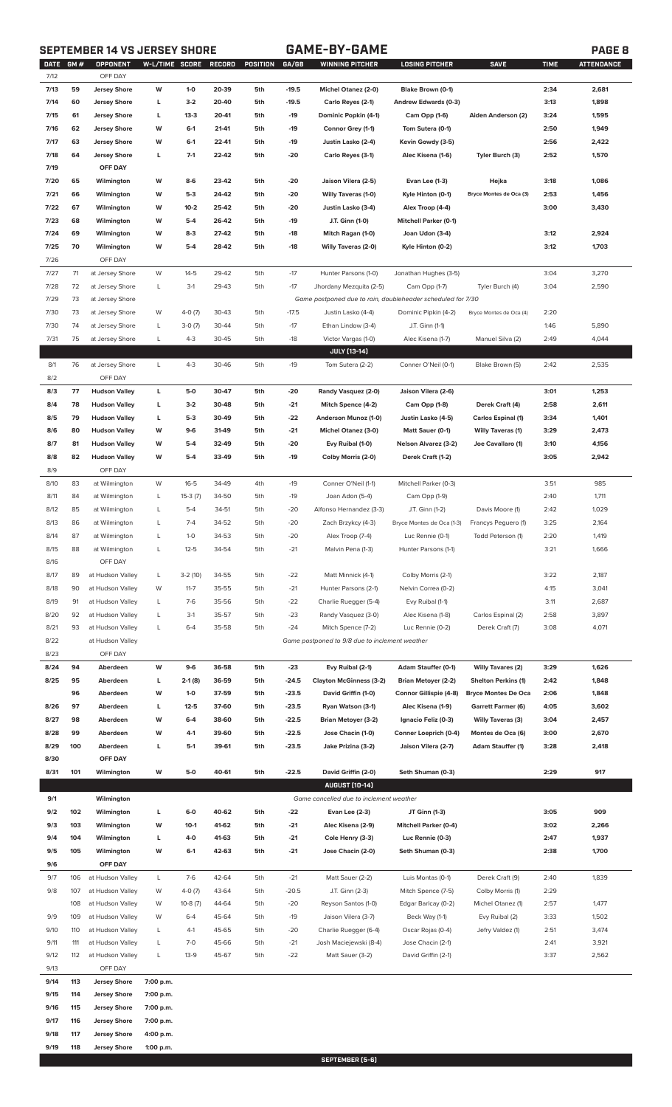# **SEPTEMBER 14 VS JERSEY SHORE GAME-BY-GAME PAGE 8**

**9/19 118 Jersey Shore 1:00 p.m.**

|--|

| <b>DATE</b> | GM# | OPPONENT             | W-L/TIME SCORE |           | RECORD | POSITION | GA/GB   | <b>WINNING PITCHER</b>                                      | <b>LOSING PITCHER</b>        | <b>SAVE</b>                | <b>TIME</b> | <b>ATTENDANCE</b> |
|-------------|-----|----------------------|----------------|-----------|--------|----------|---------|-------------------------------------------------------------|------------------------------|----------------------------|-------------|-------------------|
| 7/12        |     | OFF DAY              |                |           |        |          |         |                                                             |                              |                            |             |                   |
| 7/13        | 59  | <b>Jersey Shore</b>  | W              | $1-0$     | 20-39  | 5th      | $-19.5$ | Michel Otanez (2-0)                                         | Blake Brown (0-1)            |                            | 2:34        | 2,681             |
| 7/14        | 60  | <b>Jersey Shore</b>  | L              | $3-2$     | 20-40  | 5th      | $-19.5$ | Carlo Reyes (2-1)                                           | Andrew Edwards (0-3)         |                            | 3:13        | 1,898             |
| 7/15        | 61  | <b>Jersey Shore</b>  | г              | $13-3$    | 20-41  | 5th      | $-19$   | Dominic Popkin (4-1)                                        | Cam Opp (1-6)                | Aiden Anderson (2)         | 3:24        | 1,595             |
| 7/16        | 62  | <b>Jersey Shore</b>  | W              | $6 - 1$   | 21-41  | 5th      | -19     | Connor Grey (1-1)                                           | Tom Sutera (0-1)             |                            | 2:50        | 1,949             |
| 7/17        | 63  | <b>Jersey Shore</b>  | W              | $6-1$     | 22-41  | 5th      | -19     | Justin Lasko (2-4)                                          | Kevin Gowdy (3-5)            |                            | 2:56        | 2,422             |
| 7/18        | 64  | <b>Jersey Shore</b>  | L              | $7-1$     | 22-42  | 5th      | $-20$   | Carlo Reyes (3-1)                                           | Alec Kisena (1-6)            | Tyler Burch (3)            | 2:52        | 1,570             |
| 7/19        |     | OFF DAY              |                |           |        |          |         |                                                             |                              |                            |             |                   |
| 7/20        | 65  | Wilmington           | W              | 8-6       | 23-42  | 5th      | -20     | Jaison Vilera (2-5)                                         | Evan Lee (1-3)               | Hejka                      | 3:18        | 1,086             |
| 7/21        | 66  | Wilmington           | W              | $5-3$     | 24-42  | 5th      | $-20$   | <b>Willy Taveras (1-0)</b>                                  | Kyle Hinton (0-1)            | Bryce Montes de Oca (3)    | 2:53        | 1,456             |
| 7/22        | 67  | Wilmington           | W              | $10 - 2$  | 25-42  | 5th      | -20     | Justin Lasko (3-4)                                          | Alex Troop (4-4)             |                            | 3:00        | 3,430             |
| 7/23        | 68  | Wilmington           | W              | $5-4$     | 26-42  | 5th      | $-19$   | J.T. Ginn (1-0)                                             | <b>Mitchell Parker (0-1)</b> |                            |             |                   |
| 7/24        | 69  | Wilmington           | W              | $8-3$     | 27-42  | 5th      | -18     | Mitch Ragan (1-0)                                           | Joan Udon (3-4)              |                            | 3:12        | 2,924             |
| 7/25        | 70  | Wilmington           | W              | $5-4$     | 28-42  | 5th      | $-18$   | <b>Willy Taveras (2-0)</b>                                  | Kyle Hinton (0-2)            |                            | 3:12        | 1,703             |
| 7/26        |     | OFF DAY              |                |           |        |          |         |                                                             |                              |                            |             |                   |
| 7/27        | 71  | at Jersey Shore      | W              | $14-5$    | 29-42  | 5th      | $-17$   | Hunter Parsons (1-0)                                        | Jonathan Hughes (3-5)        |                            | 3:04        | 3,270             |
| 7/28        | 72  | at Jersey Shore      | L              | $3-1$     | 29-43  | 5th      | $-17$   | Jhordany Mezquita (2-5)                                     | Cam Opp (1-7)                | Tyler Burch (4)            | 3:04        | 2,590             |
| 7/29        | 73  | at Jersey Shore      |                |           |        |          |         | Game postponed due to rain, doubleheader scheduled for 7/30 |                              |                            |             |                   |
|             |     |                      |                |           |        |          |         |                                                             |                              |                            |             |                   |
| 7/30        | 73  | at Jersey Shore      | W              | $4-0(7)$  | 30-43  | 5th      | $-17.5$ | Justin Lasko (4-4)                                          | Dominic Pipkin (4-2)         | Bryce Montes de Oca (4)    | 2:20        |                   |
| 7/30        | 74  | at Jersey Shore      | L              | $3-0(7)$  | 30-44  | 5th      | $-17$   | Ethan Lindow (3-4)                                          | J.T. Ginn (1-1)              |                            | 1:46        | 5,890             |
| 7/31        | 75  | at Jersey Shore      | L              | $4 - 3$   | 30-45  | 5th      | $-18$   | Victor Vargas (1-0)                                         | Alec Kisena (1-7)            | Manuel Silva (2)           | 2:49        | 4,044             |
|             |     |                      |                |           |        |          |         | JULY [13-14]                                                |                              |                            |             |                   |
| 8/1         | 76  | at Jersey Shore      | L              | $4 - 3$   | 30-46  | 5th      | $-19$   | Tom Sutera (2-2)                                            | Conner O'Neil (0-1)          | Blake Brown (5)            | 2:42        | 2,535             |
| 8/2         |     | OFF DAY              |                |           |        |          |         |                                                             |                              |                            |             |                   |
| 8/3         | 77  | <b>Hudson Valley</b> | L              | 5-0       | 30-47  | 5th      | -20     | Randy Vasquez (2-0)                                         | Jaison Vilera (2-6)          |                            | 3:01        | 1,253             |
| 8/4         | 78  | <b>Hudson Valley</b> | L              | $3-2$     | 30-48  | 5th      | $-21$   | Mitch Spence (4-2)                                          | Cam Opp (1-8)                | Derek Craft (4)            | 2:58        | 2,611             |
| 8/5         | 79  | <b>Hudson Valley</b> | L              | $5-3$     | 30-49  | 5th      | -22     | Anderson Munoz (1-0)                                        | Justin Lasko (4-5)           | <b>Carlos Espinal (1)</b>  | 3:34        | 1,401             |
| 8/6         | 80  | <b>Hudson Valley</b> | W              | $9-6$     | 31-49  | 5th      | $-21$   | <b>Michel Otanez (3-0)</b>                                  | Matt Sauer (0-1)             | <b>Willy Taveras (1)</b>   | 3:29        | 2,473             |
| 8/7         | 81  | <b>Hudson Valley</b> | W              | $5 - 4$   | 32-49  | 5th      | -20     | Evy Ruibal (1-0)                                            | <b>Nelson Alvarez (3-2)</b>  | Joe Cavallaro (1)          | 3:10        | 4,156             |
| 8/8         | 82  | <b>Hudson Valley</b> | W              | $5 - 4$   | 33-49  | 5th      | $-19$   | Colby Morris (2-0)                                          | Derek Craft (1-2)            |                            | 3:05        | 2,942             |
| 8/9         |     | OFF DAY              |                |           |        |          |         |                                                             |                              |                            |             |                   |
| 8/10        | 83  | at Wilmington        | W              | $16 - 5$  | 34-49  | 4th      | $-19$   | Conner O'Neil (1-1)                                         | Mitchell Parker (0-3)        |                            | 3:51        | 985               |
| 8/11        | 84  | at Wilmington        | L              | $15-3(7)$ | 34-50  | 5th      | $-19$   | Joan Adon (5-4)                                             | Cam Opp (1-9)                |                            | 2:40        | 1,711             |
| 8/12        | 85  | at Wilmington        | L              | $5-4$     | 34-51  | 5th      | $-20$   | Alfonso Hernandez (3-3)                                     | J.T. Ginn (1-2)              | Davis Moore (1)            | 2:42        | 1,029             |
| 8/13        | 86  | at Wilmington        | L              | $7-4$     | 34-52  | 5th      | -20     | Zach Brzykcy (4-3)                                          | Bryce Montes de Oca (1-3)    | Francys Peguero (1)        | 3:25        | 2,164             |
| 8/14        | 87  | at Wilmington        | L              | $1-0$     | 34-53  | 5th      | $-20$   | Alex Troop (7-4)                                            | Luc Rennie (0-1)             | Todd Peterson (1)          | 2:20        | 1,419             |
| 8/15        | 88  |                      | L              | $12 - 5$  | 34-54  | 5th      | $-21$   |                                                             |                              |                            | 3:21        | 1,666             |
|             |     | at Wilmington        |                |           |        |          |         | Malvin Pena (1-3)                                           | Hunter Parsons (1-1)         |                            |             |                   |
| 8/16        |     | OFF DAY              |                |           |        |          |         |                                                             |                              |                            |             |                   |
| 8/17        | 89  | at Hudson Valley     | L              | $3-2(10)$ | 34-55  | 5th      | $-22$   | Matt Minnick (4-1)                                          | Colby Morris (2-1)           |                            | 3:22        | 2,187             |
| 8/18        | 90  | at Hudson Valley     | W              | $11 - 7$  | 35-55  | 5th      | $-21$   | Hunter Parsons (2-1)                                        | Nelvin Correa (0-2)          |                            | 4:15        | 3,041             |
| 8/19        | 91  | at Hudson Valley     | L              | $7-6$     | 35-56  | 5th      | $-22$   | Charlie Ruegger (5-4)                                       | Evy Ruibal (1-1)             |                            | 3:11        | 2,687             |
| 8/20        | 92  | at Hudson Valley     | L              | $3-1$     | 35-57  | 5th      | $-23$   | Randy Vasquez (3-0)                                         | Alec Kisena (1-8)            | Carlos Espinal (2)         | 2:58        | 3,897             |
| 8/21        | 93  | at Hudson Valley     | L              | $6 - 4$   | 35-58  | 5th      | $-24$   | Mitch Spence (7-2)                                          | Luc Rennie (0-2)             | Derek Craft (7)            | 3:08        | 4,071             |
| 8/22        |     | at Hudson Valley     |                |           |        |          |         | Game postponed to 9/8 due to inclement weather              |                              |                            |             |                   |
| 8/23        |     | OFF DAY              |                |           |        |          |         |                                                             |                              |                            |             |                   |
| 8/24        | 94  | Aberdeen             | W              | $9-6$     | 36-58  | 5th      | $-23$   | Evy Ruibal (2-1)                                            | Adam Stauffer (0-1)          | <b>Willy Tavares (2)</b>   | 3:29        | 1,626             |
| 8/25        | 95  | Aberdeen             | L              | 2-1 (8)   | 36-59  | 5th      | $-24.5$ | <b>Clayton McGinness (3-2)</b>                              | <b>Brian Metoyer (2-2)</b>   | <b>Shelton Perkins (1)</b> | 2:42        | 1,848             |
|             | 96  | Aberdeen             | W              | $1-0$     | 37-59  | 5th      | $-23.5$ | David Griffin (1-0)                                         | Connor Gillispie (4-8)       | <b>Bryce Montes De Oca</b> | 2:06        | 1,848             |
| 8/26        | 97  | Aberdeen             | г              | $12 - 5$  | 37-60  | 5th      | $-23.5$ | Ryan Watson (3-1)                                           | Alec Kisena (1-9)            | <b>Garrett Farmer (6)</b>  | 4:05        | 3,602             |
| 8/27        | 98  | Aberdeen             | W              | $6 - 4$   | 38-60  | 5th      | $-22.5$ | <b>Brian Metoyer (3-2)</b>                                  | Ignacio Feliz (0-3)          | <b>Willy Taveras (3)</b>   | 3:04        | 2,457             |
| 8/28        | 99  | Aberdeen             | W              | $4-1$     | 39-60  | 5th      | $-22.5$ | Jose Chacin (1-0)                                           | Conner Loeprich (0-4)        | Montes de Oca (6)          | 3:00        | 2,670             |
| 8/29        | 100 | Aberdeen             | г              | $5-1$     | 39-61  | 5th      | $-23.5$ | Jake Prizina (3-2)                                          | Jaison Vilera (2-7)          | <b>Adam Stauffer (1)</b>   | 3:28        | 2,418             |
| 8/30        |     | OFF DAY              |                |           |        |          |         |                                                             |                              |                            |             |                   |
| 8/31        | 101 | Wilmington           | W              | 5-0       | 40-61  | 5th      | $-22.5$ | David Griffin (2-0)                                         | Seth Shuman (0-3)            |                            | 2:29        | 917               |
|             |     |                      |                |           |        |          |         | <b>AUGUST [10-14]</b>                                       |                              |                            |             |                   |
|             |     |                      |                |           |        |          |         |                                                             |                              |                            |             |                   |
| 9/1         |     | Wilmington           |                |           |        |          |         | Game cancelled due to inclement weather                     |                              |                            |             |                   |
| 9/2         | 102 | Wilmington           | г              | $6-0$     | 40-62  | 5th      | -22     | Evan Lee (2-3)                                              | JT Ginn (1-3)                |                            | 3:05        | 909               |
| 9/3         | 103 | Wilmington           | W              | $10-1$    | 41-62  | 5th      | $-21$   | Alec Kisena (2-9)                                           | <b>Mitchell Parker (0-4)</b> |                            | 3:02        | 2,266             |
| 9/4         | 104 | Wilmington           | г              | 4-0       | 41-63  | 5th      | $-21$   | Cole Henry (3-3)                                            | Luc Rennie (0-3)             |                            | 2:47        | 1,937             |
| 9/5         | 105 | Wilmington           | W              | $6-1$     | 42-63  | 5th      | $-21$   | Jose Chacin (2-0)                                           | Seth Shuman (0-3)            |                            | 2:38        | 1,700             |
| 9/6         |     | OFF DAY              |                |           |        |          |         |                                                             |                              |                            |             |                   |
| 9/7         | 106 | at Hudson Valley     | L              | $7-6$     | 42-64  | 5th      | $-21$   | Matt Sauer (2-2)                                            | Luis Montas (0-1)            | Derek Craft (9)            | 2:40        | 1,839             |
| 9/8         | 107 | at Hudson Valley     | W              | $4-0(7)$  | 43-64  | 5th      | $-20.5$ | J.T. Ginn (2-3)                                             | Mitch Spence (7-5)           | Colby Morris (1)           | 2:29        |                   |
|             | 108 | at Hudson Valley     | W              | $10-8(7)$ | 44-64  | 5th      | $-20$   | Reyson Santos (1-0)                                         | Edgar Barlcay (0-2)          | Michel Otanez (1)          | 2:57        | 1,477             |
| 9/9         | 109 | at Hudson Valley     | W              | $6 - 4$   | 45-64  | 5th      | $-19$   | Jaison Vilera (3-7)                                         | Beck Way (1-1)               | Evy Ruibal (2)             | 3:33        | 1,502             |
| 9/10        | 110 | at Hudson Valley     | L              | $4-1$     | 45-65  | 5th      | $-20$   | Charlie Ruegger (6-4)                                       | Oscar Rojas (0-4)            | Jefry Valdez (1)           | 2:51        | 3,474             |
| 9/11        | 111 | at Hudson Valley     | L              | $7 - 0$   | 45-66  | 5th      | $-21$   | Josh Maciejewski (8-4)                                      | Jose Chacin (2-1)            |                            | 2:41        | 3,921             |
| 9/12        | 112 | at Hudson Valley     | L              | $13-9$    | 45-67  | 5th      | $-22$   | Matt Sauer (3-2)                                            | David Griffin (2-1)          |                            | 3:37        | 2,562             |
| 9/13        |     | OFF DAY              |                |           |        |          |         |                                                             |                              |                            |             |                   |
|             |     |                      |                |           |        |          |         |                                                             |                              |                            |             |                   |
| 9/14        | 113 | <b>Jersey Shore</b>  | 7:00 p.m.      |           |        |          |         |                                                             |                              |                            |             |                   |
| 9/15        | 114 | <b>Jersey Shore</b>  | 7:00 p.m.      |           |        |          |         |                                                             |                              |                            |             |                   |
| 9/16        | 115 | <b>Jersey Shore</b>  | 7:00 p.m.      |           |        |          |         |                                                             |                              |                            |             |                   |
| 9/17        | 116 | <b>Jersey Shore</b>  | 7:00 p.m.      |           |        |          |         |                                                             |                              |                            |             |                   |
| 9/18        | 117 | <b>Jersey Shore</b>  | 4:00 p.m.      |           |        |          |         |                                                             |                              |                            |             |                   |